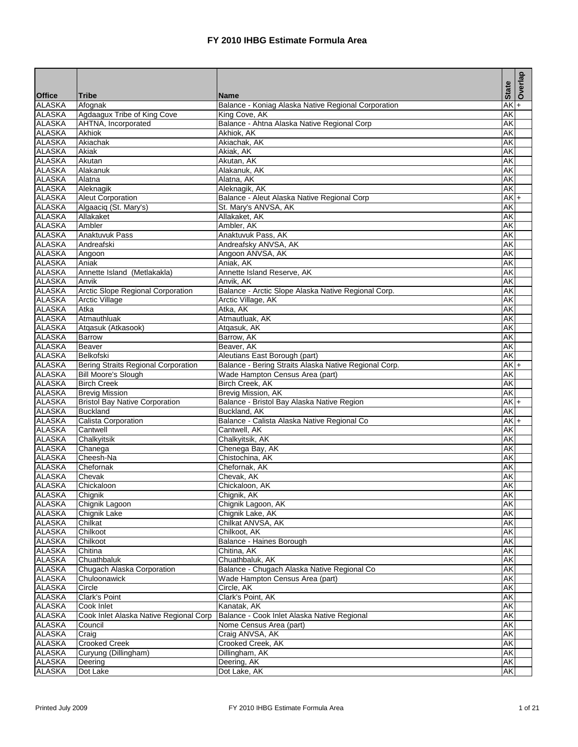|                                |                                        |                                                       | <b>State</b> | Overlap     |
|--------------------------------|----------------------------------------|-------------------------------------------------------|--------------|-------------|
| <b>Office</b>                  | <b>Tribe</b>                           | <b>Name</b>                                           |              |             |
| <b>ALASKA</b>                  | Afognak                                | Balance - Koniag Alaska Native Regional Corporation   | AΚ           | $\ddotmark$ |
| <b>ALASKA</b>                  | Agdaagux Tribe of King Cove            | King Cove, AK                                         | AΚ           |             |
| <b>ALASKA</b>                  | AHTNA, Incorporated                    | Balance - Ahtna Alaska Native Regional Corp           | AK           |             |
| <b>ALASKA</b>                  | <b>Akhiok</b>                          | Akhiok, AK                                            | AΚ           |             |
| <b>ALASKA</b>                  | Akiachak                               | Akiachak, AK                                          | AK           |             |
| <b>ALASKA</b><br><b>ALASKA</b> | Akiak<br>Akutan                        | Akiak, AK<br>Akutan, AK                               | AK<br>AΚ     |             |
| <b>ALASKA</b>                  | Alakanuk                               | Alakanuk, AK                                          | AK           |             |
| <b>ALASKA</b>                  | Alatna                                 | Alatna, AK                                            | AK           |             |
| <b>ALASKA</b>                  | Aleknagik                              | Aleknagik, AK                                         | AK           |             |
| <b>ALASKA</b>                  | <b>Aleut Corporation</b>               | Balance - Aleut Alaska Native Regional Corp           | $AKI+$       |             |
| <b>ALASKA</b>                  | Algaaciq (St. Mary's)                  | St. Mary's ANVSA, AK                                  | AK           |             |
| <b>ALASKA</b>                  | Allakaket                              | Allakaket, AK                                         | AΚ           |             |
| <b>ALASKA</b>                  | Ambler                                 | Ambler, AK                                            | AK           |             |
| <b>ALASKA</b>                  | <b>Anaktuvuk Pass</b>                  | Anaktuvuk Pass, AK                                    | AΚ           |             |
| <b>ALASKA</b>                  | Andreafski                             | Andreafsky ANVSA, AK                                  | AK           |             |
| <b>ALASKA</b>                  | Angoon                                 | Angoon ANVSA, AK                                      | AK           |             |
| <b>ALASKA</b>                  | Aniak                                  | Aniak, AK                                             | AK           |             |
| <b>ALASKA</b>                  | Annette Island (Metlakakla)            | Annette Island Reserve, AK                            | ΑK           |             |
| <b>ALASKA</b>                  | Anvik                                  | Anvik, AK                                             | AK           |             |
| <b>ALASKA</b>                  | Arctic Slope Regional Corporation      | Balance - Arctic Slope Alaska Native Regional Corp.   | AK           |             |
| <b>ALASKA</b>                  | <b>Arctic Village</b>                  | Arctic Village, AK                                    | AK           |             |
| <b>ALASKA</b>                  | Atka                                   | Atka, AK                                              | AK           |             |
| <b>ALASKA</b>                  | Atmauthluak                            | Atmautluak, AK                                        | AΚ           |             |
| <b>ALASKA</b>                  | Atqasuk (Atkasook)                     | Atgasuk, AK                                           | AΚ           |             |
| <b>ALASKA</b>                  | <b>Barrow</b>                          | Barrow, AK                                            | AK           |             |
| <b>ALASKA</b>                  | <b>Beaver</b>                          | Beaver, AK                                            | AK           |             |
| <b>ALASKA</b>                  | Belkofski                              | Aleutians East Borough (part)                         | AK           |             |
| <b>ALASKA</b>                  | Bering Straits Regional Corporation    | Balance - Bering Straits Alaska Native Regional Corp. | AK           | $+$         |
| <b>ALASKA</b>                  | Bill Moore's Slough                    | Wade Hampton Census Area (part)                       | AK           |             |
| <b>ALASKA</b>                  | <b>Birch Creek</b>                     | Birch Creek, AK                                       | AK           |             |
| <b>ALASKA</b>                  | <b>Brevig Mission</b>                  | Brevig Mission, AK                                    | AK           |             |
| <b>ALASKA</b>                  | <b>Bristol Bay Native Corporation</b>  | Balance - Bristol Bay Alaska Native Region            | $AK +$       |             |
| <b>ALASKA</b>                  | <b>Buckland</b>                        | Buckland, AK                                          | AK           |             |
| <b>ALASKA</b>                  | Calista Corporation                    | Balance - Calista Alaska Native Regional Co           | $AK +$       |             |
| <b>ALASKA</b>                  | Cantwell                               | Cantwell, AK                                          | AΚ           |             |
| <b>ALASKA</b>                  | Chalkyitsik                            | Chalkyitsik, AK                                       | AK           |             |
| <b>ALASKA</b>                  | Chanega                                | Chenega Bay, AK                                       | AK           |             |
| <b>ALASKA</b>                  | Cheesh-Na                              | Chistochina, AK                                       | AΚ           |             |
| <b>ALASKA</b>                  | Chefornak                              | Chefornak, AK                                         | AΚ           |             |
| <b>ALASKA</b>                  | Chevak                                 | Chevak, AK                                            | AK           |             |
| <b>ALASKA</b>                  | Chickaloon                             | Chickaloon, AK                                        | AK           |             |
| <b>ALASKA</b>                  | Chignik                                | Chignik, AK                                           | AK           |             |
| <b>ALASKA</b>                  | Chignik Lagoon                         | Chignik Lagoon, AK                                    | AK           |             |
| <b>ALASKA</b>                  | Chignik Lake                           | Chignik Lake, AK                                      | AΚ           |             |
| <b>ALASKA</b>                  | Chilkat                                | Chilkat ANVSA, AK                                     | AK           |             |
| <b>ALASKA</b>                  | Chilkoot                               | Chilkoot, AK                                          | AK           |             |
| <b>ALASKA</b>                  | Chilkoot                               | Balance - Haines Borough                              | AK           |             |
| <b>ALASKA</b>                  | Chitina                                | Chitina, AK                                           | AK           |             |
| <b>ALASKA</b>                  | Chuathbaluk                            | Chuathbaluk, AK                                       | AΚ           |             |
| <b>ALASKA</b>                  | Chugach Alaska Corporation             | Balance - Chugach Alaska Native Regional Co           | AK           |             |
| <b>ALASKA</b>                  | Chuloonawick                           | Wade Hampton Census Area (part)                       | AΚ           |             |
| <b>ALASKA</b>                  | Circle                                 | Circle, AK                                            | AK           |             |
| <b>ALASKA</b>                  | Clark's Point                          | Clark's Point, AK                                     | AK           |             |
| <b>ALASKA</b>                  | Cook Inlet                             | Kanatak, AK                                           | AK           |             |
| <b>ALASKA</b><br><b>ALASKA</b> | Cook Inlet Alaska Native Regional Corp | Balance - Cook Inlet Alaska Native Regional           | AΚ<br>AK     |             |
|                                | Council                                | Nome Census Area (part)                               | AK           |             |
| <b>ALASKA</b><br><b>ALASKA</b> | Craig<br><b>Crooked Creek</b>          | Craig ANVSA, AK<br>Crooked Creek, AK                  | AΚ           |             |
| <b>ALASKA</b>                  | Curyung (Dillingham)                   | Dillingham, AK                                        | AK           |             |
| <b>ALASKA</b>                  | Deering                                | Deering, AK                                           | AΚ           |             |
| <b>ALASKA</b>                  | Dot Lake                               | Dot Lake, AK                                          | AK           |             |
|                                |                                        |                                                       |              |             |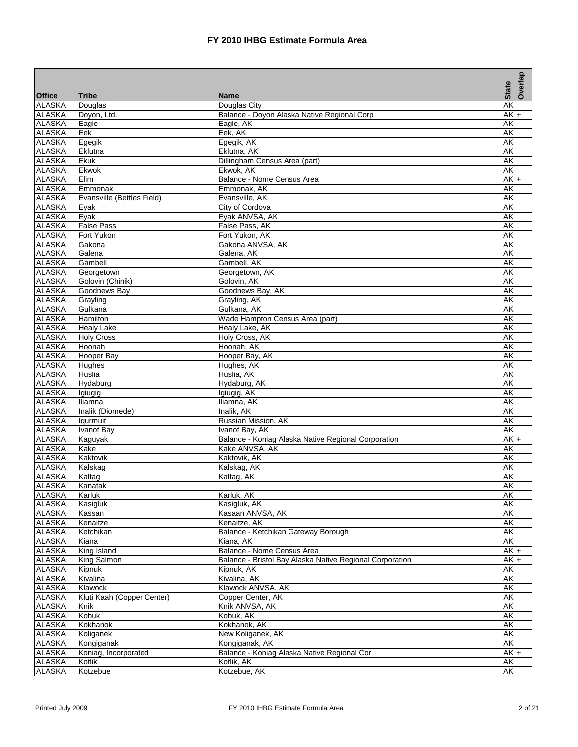|                                |                            |                                                          | <b>State</b> |           | Overlap |
|--------------------------------|----------------------------|----------------------------------------------------------|--------------|-----------|---------|
| <b>Office</b>                  | <b>Tribe</b>               | <b>Name</b>                                              |              |           |         |
| <b>ALASKA</b>                  | Douglas                    | Douglas City                                             |              | <b>AK</b> |         |
| <b>ALASKA</b>                  | Doyon, Ltd.                | Balance - Doyon Alaska Native Regional Corp              |              | $AK +$    |         |
| <b>ALASKA</b><br><b>ALASKA</b> | Eagle                      | Eagle, AK                                                |              | AK        |         |
| <b>ALASKA</b>                  | Eek                        | Eek, AK<br>Egegik, AK                                    | AK           |           |         |
| <b>ALASKA</b>                  | Egegik<br>Eklutna          | Eklutna, AK                                              | AK           | AΚ        |         |
| <b>ALASKA</b>                  | Ekuk                       | Dillingham Census Area (part)                            | AK           |           |         |
| <b>ALASKA</b>                  | Ekwok                      | Ekwok, AK                                                |              | AK        |         |
| <b>ALASKA</b>                  | Elim                       | Balance - Nome Census Area                               |              | $AK +$    |         |
| <b>ALASKA</b>                  | Emmonak                    | Emmonak, AK                                              | AK           |           |         |
| <b>ALASKA</b>                  | Evansville (Bettles Field) | Evansville, AK                                           |              | AK        |         |
| <b>ALASKA</b>                  | Eyak                       | City of Cordova                                          | AK           |           |         |
| <b>ALASKA</b>                  | Evak                       | Eyak ANVSA, AK                                           | AK           |           |         |
| <b>ALASKA</b>                  | <b>False Pass</b>          | False Pass, AK                                           |              | AΚ        |         |
| <b>ALASKA</b>                  | Fort Yukon                 | Fort Yukon, AK                                           | AK           |           |         |
| <b>ALASKA</b>                  | Gakona                     | Gakona ANVSA, AK                                         | AK           |           |         |
| <b>ALASKA</b>                  | Galena                     | Galena, AK                                               | AK           |           |         |
| <b>ALASKA</b>                  | Gambell                    | Gambell, AK                                              | AK           |           |         |
| <b>ALASKA</b>                  | Georgetown                 | Georgetown, AK                                           | AK           |           |         |
| <b>ALASKA</b>                  | Golovin (Chinik)           | Golovin, AK                                              | AK           |           |         |
| <b>ALASKA</b>                  | Goodnews Bay               | Goodnews Bay, AK                                         | AK           |           |         |
| <b>ALASKA</b>                  | Grayling                   | Grayling, AK                                             |              | AΚ        |         |
| <b>ALASKA</b>                  | Gulkana                    | Gulkana, AK                                              | AK           |           |         |
| <b>ALASKA</b>                  | <b>Hamilton</b>            | Wade Hampton Census Area (part)                          | AK           |           |         |
| <b>ALASKA</b>                  | <b>Healy Lake</b>          | Healy Lake, AK                                           | AK           |           |         |
| <b>ALASKA</b>                  | <b>Holy Cross</b>          | Holy Cross, AK                                           | AK           |           |         |
| <b>ALASKA</b>                  | Hoonah                     | Hoonah, AK                                               | AK           |           |         |
| <b>ALASKA</b>                  | Hooper Bay                 | Hooper Bay, AK                                           | AK           |           |         |
| <b>ALASKA</b>                  | Hughes                     | Hughes, AK                                               | AK           |           |         |
| <b>ALASKA</b>                  | Huslia                     | Huslia, AK                                               | AK           |           |         |
| <b>ALASKA</b>                  | Hydaburg                   | Hydaburg, AK                                             |              | AΚ        |         |
| <b>ALASKA</b>                  | Igiugig                    | Igiugig, AK                                              | AK           |           |         |
| <b>ALASKA</b>                  | Iliamna                    | Iliamna, AK                                              | AK           |           |         |
| <b>ALASKA</b>                  | Inalik (Diomede)           | Inalik, AK                                               | AK           |           |         |
| <b>ALASKA</b>                  | lqurmuit                   | Russian Mission, AK                                      | AK           |           |         |
| <b>ALASKA</b>                  | <b>Ivanof Bay</b>          | Ivanof Bay, AK                                           |              | AK        |         |
| <b>ALASKA</b>                  | Kaguyak                    | Balance - Koniag Alaska Native Regional Corporation      |              | $AK +$    |         |
| <b>ALASKA</b>                  | Kake                       | Kake ANVSA, AK                                           | AK           |           |         |
| <b>ALASKA</b><br><b>ALASKA</b> | Kaktovik                   | Kaktovik, AK<br>Kalskag, AK                              | <b>AK</b>    | AΚ        |         |
| <b>ALASKA</b>                  | Kalskag                    |                                                          |              |           |         |
| <b>ALASKA</b>                  | Kaltag<br>Kanatak          | Kaltag, AK                                               | AK           | AK        |         |
| <b>ALASKA</b>                  | Karluk                     | Karluk, AK                                               |              | AK        |         |
| <b>ALASKA</b>                  | Kasigluk                   | Kasigluk, AK                                             |              | AK        |         |
| <b>ALASKA</b>                  | Kassan                     | Kasaan ANVSA, AK                                         |              | AK        |         |
| <b>ALASKA</b>                  | Kenaitze                   | Kenaitze, AK                                             | AK           |           |         |
| <b>ALASKA</b>                  | Ketchikan                  | Balance - Ketchikan Gateway Borough                      |              | AK        |         |
| <b>ALASKA</b>                  | Kiana                      | Kiana, AK                                                |              | AK        |         |
| <b>ALASKA</b>                  | King Island                | Balance - Nome Census Area                               |              | $AK +$    |         |
| <b>ALASKA</b>                  | King Salmon                | Balance - Bristol Bay Alaska Native Regional Corporation |              | $AK +$    |         |
| <b>ALASKA</b>                  | Kipnuk                     | Kipnuk, AK                                               |              | AK        |         |
| <b>ALASKA</b>                  | Kivalina                   | Kivalina, AK                                             |              | AK        |         |
| <b>ALASKA</b>                  | Klawock                    | Klawock ANVSA, AK                                        |              | AK        |         |
| <b>ALASKA</b>                  | Kluti Kaah (Copper Center) | Copper Center, AK                                        |              | AK        |         |
| <b>ALASKA</b>                  | Knik                       | Knik ANVSA, AK                                           | AK           |           |         |
| <b>ALASKA</b>                  | Kobuk                      | Kobuk, AK                                                |              | AΚ        |         |
| <b>ALASKA</b>                  | Kokhanok                   | Kokhanok, AK                                             |              | AK        |         |
| <b>ALASKA</b>                  | Koliganek                  | New Koliganek, AK                                        |              | AK        |         |
| <b>ALASKA</b>                  | Kongiganak                 | Kongiganak, AK                                           |              | AK        |         |
| <b>ALASKA</b>                  | Koniag, Incorporated       | Balance - Koniag Alaska Native Regional Cor              |              | $AK +$    |         |
| <b>ALASKA</b>                  | Kotlik                     | Kotlik, AK                                               |              | AK        |         |
| <b>ALASKA</b>                  | Kotzebue                   | Kotzebue, AK                                             |              | AK        |         |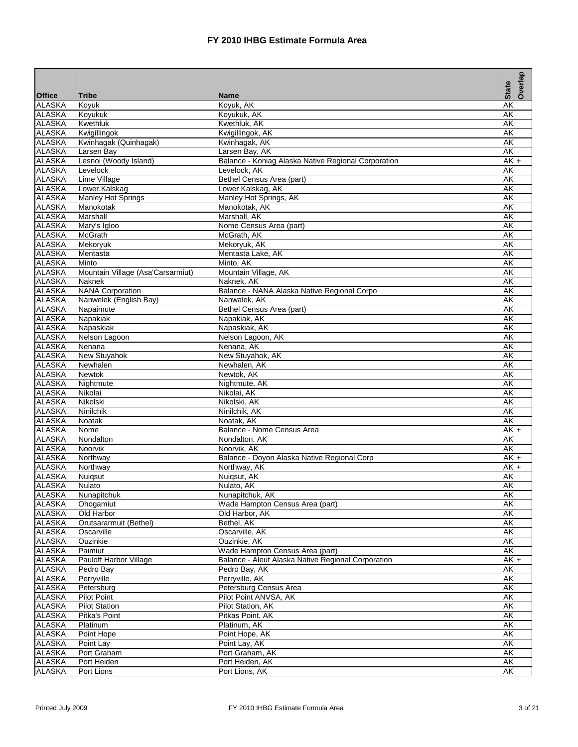|                                |                                            |                                                             | <b>State</b> | Overlap |
|--------------------------------|--------------------------------------------|-------------------------------------------------------------|--------------|---------|
| <b>Office</b>                  | <b>Tribe</b>                               | <b>Name</b>                                                 |              |         |
| <b>ALASKA</b>                  | Koyuk                                      | Koyuk, AK                                                   | AΚ           |         |
| <b>ALASKA</b>                  | Koyukuk                                    | Koyukuk, AK                                                 | AΚ           |         |
| <b>ALASKA</b>                  | Kwethluk                                   | Kwethluk, AK                                                | AK           |         |
| <b>ALASKA</b>                  | Kwigillingok                               | Kwigillingok, AK                                            | AK           |         |
| <b>ALASKA</b>                  | Kwinhagak (Quinhagak)                      | Kwinhagak, AK                                               | AK           |         |
| <b>ALASKA</b>                  | Larsen Bay                                 | Larsen Bay, AK                                              | AK           |         |
| <b>ALASKA</b>                  | Lesnoi (Woody Island)                      | Balance - Koniag Alaska Native Regional Corporation         | $AK +$       |         |
| <b>ALASKA</b>                  | Levelock                                   | Levelock, AK                                                | AK           |         |
| <b>ALASKA</b>                  | Lime Village                               | Bethel Census Area (part)                                   | AK           |         |
| <b>ALASKA</b>                  | Lower.Kalskag                              | Lower Kalskag, AK                                           | AK           |         |
| <b>ALASKA</b>                  | Manley Hot Springs                         | Manley Hot Springs, AK                                      | AK           |         |
| <b>ALASKA</b>                  | Manokotak                                  | Manokotak, AK                                               | AK           |         |
| <b>ALASKA</b>                  | Marshall                                   | Marshall, AK                                                | <b>AK</b>    |         |
| <b>ALASKA</b>                  | Mary's Igloo                               | Nome Census Area (part)                                     | AK           |         |
| <b>ALASKA</b>                  | <b>McGrath</b>                             | McGrath, AK                                                 | AK           |         |
| <b>ALASKA</b>                  | Mekoryuk                                   | Mekoryuk, AK                                                | AΚ           |         |
| <b>ALASKA</b><br><b>ALASKA</b> | Mentasta                                   | Mentasta Lake, AK                                           | AΚ           |         |
| <b>ALASKA</b>                  | Minto<br>Mountain Village (Asa'Carsarmiut) | Minto, AK<br>Mountain Village, AK                           | ΑK<br>AK     |         |
|                                | <b>Naknek</b>                              |                                                             |              |         |
| <b>ALASKA</b><br><b>ALASKA</b> | <b>NANA Corporation</b>                    | Naknek, AK                                                  | AK<br>AK     |         |
| <b>ALASKA</b>                  |                                            | Balance - NANA Alaska Native Regional Corpo<br>Nanwalek, AK | AK           |         |
| <b>ALASKA</b>                  | Nanwelek (English Bay)                     |                                                             |              |         |
| <b>ALASKA</b>                  | Napaimute<br>Napakiak                      | Bethel Census Area (part)<br>Napakiak, AK                   | ΑK<br>AK     |         |
| <b>ALASKA</b>                  | Napaskiak                                  | Napaskiak, AK                                               | AΚ           |         |
| <b>ALASKA</b>                  | Nelson Lagoon                              | Nelson Lagoon, AK                                           | AK           |         |
| <b>ALASKA</b>                  | Nenana                                     | Nenana, AK                                                  | AΚ           |         |
| <b>ALASKA</b>                  | <b>New Stuyahok</b>                        | New Stuyahok, AK                                            | AΚ           |         |
| <b>ALASKA</b>                  | Newhalen                                   | Newhalen, AK                                                | AK           |         |
| <b>ALASKA</b>                  | <b>Newtok</b>                              | Newtok, AK                                                  | AK           |         |
| <b>ALASKA</b>                  | Nightmute                                  | Nightmute, AK                                               | AK           |         |
| <b>ALASKA</b>                  | Nikolai                                    | Nikolai, AK                                                 | AK           |         |
| <b>ALASKA</b>                  | Nikolski                                   | Nikolski, AK                                                | AK           |         |
| <b>ALASKA</b>                  | Ninilchik                                  | Ninilchik, AK                                               | AK           |         |
| <b>ALASKA</b>                  | Noatak                                     | Noatak, AK                                                  | AΚ           |         |
| <b>ALASKA</b>                  | Nome                                       | Balance - Nome Census Area                                  | AK I+        |         |
| <b>ALASKA</b>                  | Nondalton                                  | Nondalton, AK                                               | AK           |         |
| <b>ALASKA</b>                  | Noorvik                                    | Noorvik, AK                                                 | AΚ           |         |
| <b>ALASKA</b>                  | Northway                                   | Balance - Doyon Alaska Native Regional Corp                 | $AK +$       |         |
| <b>ALASKA</b>                  | Northway                                   | Northway, AK                                                | $AK +$       |         |
| <b>ALASKA</b>                  | <b>Nuiqsut</b>                             | Nuiqsut, AK                                                 | AK           |         |
| <b>ALASKA</b>                  | Nulato                                     | Nulato, AK                                                  | AK           |         |
| <b>ALASKA</b>                  | Nunapitchuk                                | Nunapitchuk, AK                                             | AK           |         |
| <b>ALASKA</b>                  | Ohogamiut                                  | Wade Hampton Census Area (part)                             | AK           |         |
| <b>ALASKA</b>                  | Old Harbor                                 | Old Harbor, AK                                              | AΚ           |         |
| <b>ALASKA</b>                  | Orutsararmuit (Bethel)                     | Bethel, AK                                                  | AK           |         |
| <b>ALASKA</b>                  | Oscarville                                 | Oscarville, AK                                              | AK           |         |
| <b>ALASKA</b>                  | Ouzinkie                                   | Ouzinkie, AK                                                | AK           |         |
| <b>ALASKA</b>                  | Paimiut                                    | Wade Hampton Census Area (part)                             | AK           |         |
| <b>ALASKA</b>                  | Pauloff Harbor Village                     | Balance - Aleut Alaska Native Regional Corporation          | $AK +$       |         |
| <b>ALASKA</b>                  | Pedro Bay                                  | Pedro Bay, AK                                               | AK           |         |
| <b>ALASKA</b>                  | Perryville                                 | Perryville, AK                                              | AK           |         |
| <b>ALASKA</b>                  | Petersburg                                 | Petersburg Census Area                                      | AK           |         |
| <b>ALASKA</b>                  | <b>Pilot Point</b>                         | Pilot Point ANVSA, AK                                       | AK           |         |
| <b>ALASKA</b>                  | <b>Pilot Station</b>                       | Pilot Station, AK                                           | AΚ           |         |
| <b>ALASKA</b>                  | Pitka's Point                              | Pitkas Point, AK                                            | AΚ           |         |
| <b>ALASKA</b>                  | Platinum                                   | Platinum, AK                                                | AK           |         |
| <b>ALASKA</b>                  | Point Hope                                 | Point Hope, AK                                              | AK           |         |
| <b>ALASKA</b>                  | Point Lay                                  | Point Lay, AK                                               | AK           |         |
| <b>ALASKA</b>                  | Port Graham                                | Port Graham, AK                                             | <b>AK</b>    |         |
| <b>ALASKA</b>                  | Port Heiden                                | Port Heiden, AK                                             | AK           |         |
| <b>ALASKA</b>                  | Port Lions                                 | Port Lions, AK                                              | AK           |         |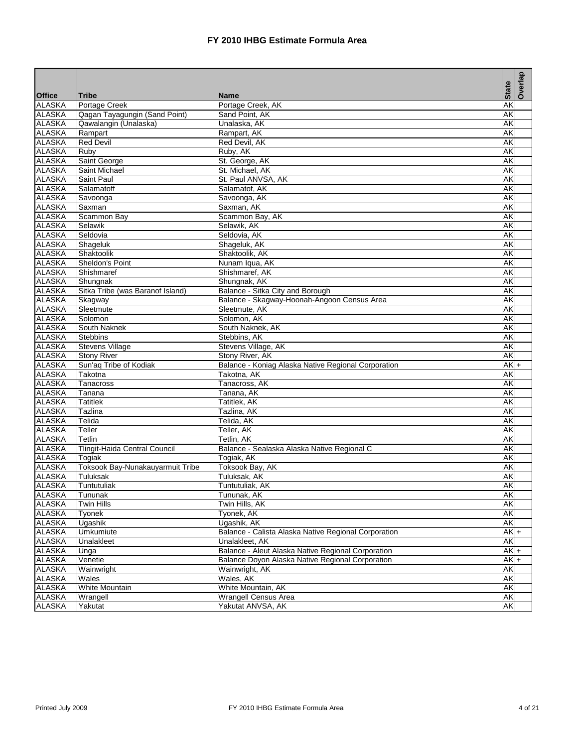|               |                                  |                                                      |              | Overlap |
|---------------|----------------------------------|------------------------------------------------------|--------------|---------|
| <b>Office</b> | <b>Tribe</b>                     | <b>Name</b>                                          | <b>State</b> |         |
| <b>ALASKA</b> | Portage Creek                    | Portage Creek, AK                                    | AK           |         |
| <b>ALASKA</b> | Qagan Tayagungin (Sand Point)    | Sand Point, AK                                       | AK           |         |
| <b>ALASKA</b> | Qawalangin (Unalaska)            | Unalaska, AK                                         | AK           |         |
| <b>ALASKA</b> | Rampart                          | Rampart, AK                                          | AK           |         |
| <b>ALASKA</b> | <b>Red Devil</b>                 | Red Devil, AK                                        | AΚ           |         |
| <b>ALASKA</b> | Ruby                             | Ruby, AK                                             | AK           |         |
| <b>ALASKA</b> | Saint George                     | St. George, AK                                       | AK           |         |
| <b>ALASKA</b> | Saint Michael                    | St. Michael, AK                                      | AK           |         |
| <b>ALASKA</b> | Saint Paul                       | St. Paul ANVSA, AK                                   | AK           |         |
| <b>ALASKA</b> | Salamatoff                       | Salamatof, AK                                        | AK           |         |
| <b>ALASKA</b> | Savoonga                         | Savoonga, AK                                         | AΚ           |         |
| <b>ALASKA</b> | Saxman                           | Saxman, AK                                           | AK           |         |
| <b>ALASKA</b> | Scammon Bay                      | Scammon Bay, AK                                      | AK           |         |
| <b>ALASKA</b> | Selawik                          | Selawik, AK                                          | AΚ           |         |
| <b>ALASKA</b> | Seldovia                         | Seldovia, AK                                         | AK           |         |
| <b>ALASKA</b> | Shageluk                         | Shageluk, AK                                         | AK           |         |
| <b>ALASKA</b> | Shaktoolik                       | Shaktoolik, AK                                       | AK           |         |
| <b>ALASKA</b> | Sheldon's Point                  | Nunam Iqua, AK                                       | AK           |         |
| <b>ALASKA</b> | Shishmaref                       | Shishmaref, AK                                       | AK           |         |
| <b>ALASKA</b> | Shungnak                         | Shungnak, AK                                         | AK           |         |
| <b>ALASKA</b> | Sitka Tribe (was Baranof Island) | Balance - Sitka City and Borough                     | AK           |         |
| <b>ALASKA</b> | Skagway                          | Balance - Skagway-Hoonah-Angoon Census Area          | AK           |         |
| <b>ALASKA</b> | Sleetmute                        | Sleetmute, AK                                        | AK           |         |
| <b>ALASKA</b> | Solomon                          | Solomon, AK                                          | AK           |         |
| <b>ALASKA</b> | South Naknek                     | South Naknek, AK                                     | AΚ           |         |
| <b>ALASKA</b> | <b>Stebbins</b>                  | Stebbins, AK                                         | AK           |         |
| <b>ALASKA</b> | <b>Stevens Village</b>           | Stevens Village, AK                                  | AK           |         |
| <b>ALASKA</b> | <b>Stony River</b>               | Stony River, AK                                      | AK           |         |
| <b>ALASKA</b> | Sun'aq Tribe of Kodiak           | Balance - Koniag Alaska Native Regional Corporation  | AK           |         |
| <b>ALASKA</b> | Takotna                          | Takotna, AK                                          | AΚ           |         |
| <b>ALASKA</b> | Tanacross                        | Tanacross, AK                                        | AK           |         |
| <b>ALASKA</b> | Tanana                           | Tanana, AK                                           | AK           |         |
| <b>ALASKA</b> | <b>Tatitlek</b>                  | Tatitlek, AK                                         | AK           |         |
| <b>ALASKA</b> | Tazlina                          | Tazlina, AK                                          | AK           |         |
| <b>ALASKA</b> | Telida                           | Telida, AK                                           | AK           |         |
| <b>ALASKA</b> | Teller                           | Teller, AK                                           | AK           |         |
| <b>ALASKA</b> | Tetlin                           | Tetlin, AK                                           | AK           |         |
| <b>ALASKA</b> | Tlingit-Haida Central Council    | Balance - Sealaska Alaska Native Regional C          | AK           |         |
| <b>ALASKA</b> | Togiak                           | Togiak, AK                                           | AΚ           |         |
| <b>ALASKA</b> | Toksook Bay-Nunakauyarmuit Tribe | Toksook Bay, AK                                      | AK           |         |
| <b>ALASKA</b> | Tuluksak                         | Tuluksak, AK                                         | AΚ           |         |
| <b>ALASKA</b> | Tuntutuliak                      | Tuntutuliak, AK                                      | <b>AK</b>    |         |
| <b>ALASKA</b> | Tununak                          | Tununak, AK                                          | AK           |         |
| <b>ALASKA</b> | <b>Twin Hills</b>                | Twin Hills, AK                                       | ΑK           |         |
| <b>ALASKA</b> | Tyonek                           | Tyonek, AK                                           | AK           |         |
| <b>ALASKA</b> | Ugashik                          | Ugashik, AK                                          | AK           |         |
| <b>ALASKA</b> | <b>Umkumiute</b>                 | Balance - Calista Alaska Native Regional Corporation | $AK +$       |         |
| <b>ALASKA</b> | <b>Unalakleet</b>                | Unalakleet, AK                                       | AK           |         |
| <b>ALASKA</b> | Unga                             | Balance - Aleut Alaska Native Regional Corporation   | $AK +$       |         |
| <b>ALASKA</b> | Venetie                          | Balance Doyon Alaska Native Regional Corporation     | $AK +$       |         |
| <b>ALASKA</b> | Wainwright                       | Wainwright, AK                                       | AK           |         |
| <b>ALASKA</b> | Wales                            | Wales, AK                                            | AK           |         |
| <b>ALASKA</b> | <b>White Mountain</b>            | White Mountain, AK                                   | AK           |         |
| <b>ALASKA</b> | Wrangell                         | Wrangell Census Area                                 | AK           |         |
| <b>ALASKA</b> | Yakutat                          | Yakutat ANVSA, AK                                    | AK           |         |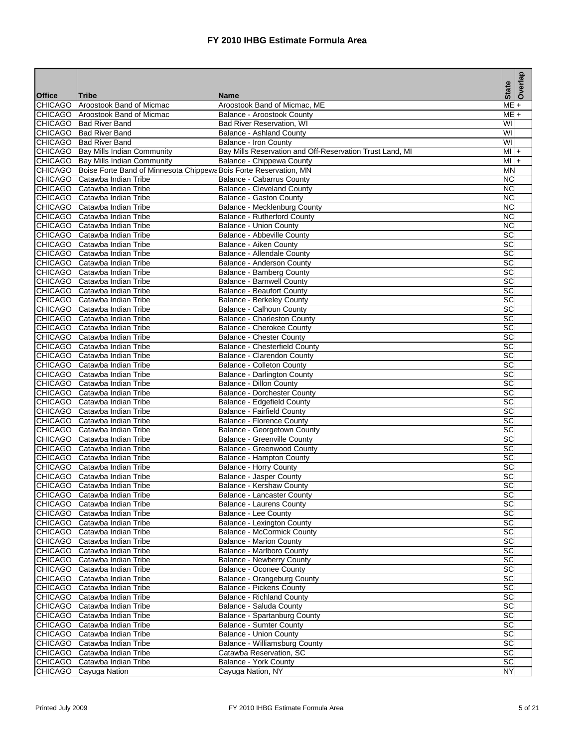|                |                                                                   |                                                          | <b>State</b>                      | Overlap   |
|----------------|-------------------------------------------------------------------|----------------------------------------------------------|-----------------------------------|-----------|
| <b>Office</b>  | <b>Tribe</b>                                                      | <b>Name</b>                                              |                                   |           |
| <b>CHICAGO</b> | Aroostook Band of Micmac                                          | Aroostook Band of Micmac, ME                             | ME                                | $\ddot{}$ |
| <b>CHICAGO</b> | Aroostook Band of Micmac                                          | Balance - Aroostook County                               | $ME +$<br>$\overline{\mathsf{W}}$ |           |
|                | CHICAGO Bad River Band                                            | <b>Bad River Reservation, WI</b>                         |                                   |           |
| <b>CHICAGO</b> | CHICAGO Bad River Band<br><b>Bad River Band</b>                   | <b>Balance - Ashland County</b><br>Balance - Iron County | W١<br>W١                          |           |
|                | CHICAGO   Bay Mills Indian Community                              | Bay Mills Reservation and Off-Reservation Trust Land, MI | MI +                              |           |
|                | CHICAGO   Bay Mills Indian Community                              | Balance - Chippewa County                                | MI                                | $+$       |
| <b>CHICAGO</b> | Boise Forte Band of Minnesota Chippewa Bois Forte Reservation, MN |                                                          | <b>MN</b>                         |           |
| <b>CHICAGO</b> | Catawba Indian Tribe                                              | Balance - Cabarrus County                                | <b>NC</b>                         |           |
|                | CHICAGO Catawba Indian Tribe                                      | <b>Balance - Cleveland County</b>                        | ΝC                                |           |
| <b>CHICAGO</b> | Catawba Indian Tribe                                              | <b>Balance - Gaston County</b>                           | <b>NC</b>                         |           |
| <b>CHICAGO</b> | Catawba Indian Tribe                                              | Balance - Mecklenburg County                             | <b>NC</b>                         |           |
| <b>CHICAGO</b> | Catawba Indian Tribe                                              | Balance - Rutherford County                              | ΝC                                |           |
|                | CHICAGO Catawba Indian Tribe                                      | <b>Balance - Union County</b>                            | <b>NC</b>                         |           |
|                | CHICAGO Catawba Indian Tribe                                      | Balance - Abbeville County                               | SC                                |           |
| <b>CHICAGO</b> | Catawba Indian Tribe                                              | Balance - Aiken County                                   | SC                                |           |
|                | CHICAGO Catawba Indian Tribe                                      | Balance - Allendale County                               | SC                                |           |
| <b>CHICAGO</b> | Catawba Indian Tribe                                              | Balance - Anderson County                                | SC                                |           |
| <b>CHICAGO</b> | Catawba Indian Tribe                                              | Balance - Bamberg County                                 | SC                                |           |
| <b>CHICAGO</b> | Catawba Indian Tribe                                              | <b>Balance - Barnwell County</b>                         | SC                                |           |
| <b>CHICAGO</b> | Catawba Indian Tribe                                              | <b>Balance - Beaufort County</b>                         | SC                                |           |
| <b>CHICAGO</b> | Catawba Indian Tribe                                              | <b>Balance - Berkeley County</b>                         | $\overline{\text{sc}}$            |           |
| <b>CHICAGO</b> | Catawba Indian Tribe                                              | Balance - Calhoun County                                 | SC                                |           |
|                | CHICAGO Catawba Indian Tribe                                      | Balance - Charleston County                              | SC                                |           |
|                | CHICAGO Catawba Indian Tribe                                      | Balance - Cherokee County                                | SC                                |           |
|                | CHICAGO Catawba Indian Tribe                                      | <b>Balance - Chester County</b>                          | SC                                |           |
| <b>CHICAGO</b> | Catawba Indian Tribe                                              | Balance - Chesterfield County                            | SC                                |           |
|                | CHICAGO Catawba Indian Tribe                                      | <b>Balance - Clarendon County</b>                        | SC                                |           |
| <b>CHICAGO</b> | Catawba Indian Tribe                                              | <b>Balance - Colleton County</b>                         | SC                                |           |
| <b>CHICAGO</b> | Catawba Indian Tribe                                              | <b>Balance - Darlington County</b>                       | SC                                |           |
|                | CHICAGO Catawba Indian Tribe                                      | Balance - Dillon County                                  | SC                                |           |
| <b>CHICAGO</b> | Catawba Indian Tribe                                              | <b>Balance - Dorchester County</b>                       | SC                                |           |
| <b>CHICAGO</b> | Catawba Indian Tribe                                              | Balance - Edgefield County                               | SC                                |           |
| <b>CHICAGO</b> | Catawba Indian Tribe                                              | <b>Balance - Fairfield County</b>                        | SC                                |           |
|                | CHICAGO Catawba Indian Tribe                                      | <b>Balance - Florence County</b>                         | SC                                |           |
| <b>CHICAGO</b> | Catawba Indian Tribe                                              | Balance - Georgetown County                              | SC                                |           |
|                | CHICAGO Catawba Indian Tribe<br>CHICAGO Catawba Indian Tribe      | <b>Balance - Greenville County</b>                       | SC                                |           |
|                |                                                                   | Balance - Greenwood County                               | SC                                |           |
|                | CHICAGO Catawba Indian Tribe<br>CHICAGO Catawba Indian Tribe      | Balance - Hampton County<br>Balance - Horry County       | SC<br>$\overline{\text{sc}}$      |           |
|                | CHICAGO Catawba Indian Tribe                                      | Balance - Jasper County                                  | SC                                |           |
|                | CHICAGO Catawba Indian Tribe                                      | Balance - Kershaw County                                 | SC                                |           |
|                | CHICAGO Catawba Indian Tribe                                      | Balance - Lancaster County                               | SC                                |           |
|                | CHICAGO Catawba Indian Tribe                                      | Balance - Laurens County                                 | SC                                |           |
|                | CHICAGO Catawba Indian Tribe                                      | Balance - Lee County                                     | SC                                |           |
|                | CHICAGO Catawba Indian Tribe                                      | Balance - Lexington County                               | $\overline{SC}$                   |           |
|                | CHICAGO Catawba Indian Tribe                                      | <b>Balance - McCormick County</b>                        | $\overline{SC}$                   |           |
|                | CHICAGO Catawba Indian Tribe                                      | <b>Balance - Marion County</b>                           | $\overline{\text{sc}}$            |           |
|                | CHICAGO Catawba Indian Tribe                                      | Balance - Marlboro County                                | SC                                |           |
|                | CHICAGO Catawba Indian Tribe                                      | <b>Balance - Newberry County</b>                         | SC                                |           |
|                | CHICAGO Catawba Indian Tribe                                      | Balance - Oconee County                                  | SC                                |           |
|                | CHICAGO Catawba Indian Tribe                                      | Balance - Orangeburg County                              | SC                                |           |
|                | CHICAGO Catawba Indian Tribe                                      | Balance - Pickens County                                 | <b>SC</b>                         |           |
| <b>CHICAGO</b> | Catawba Indian Tribe                                              | <b>Balance - Richland County</b>                         | $\overline{\text{sc}}$            |           |
|                | CHICAGO Catawba Indian Tribe                                      | Balance - Saluda County                                  | $\overline{\text{sc}}$            |           |
|                | CHICAGO Catawba Indian Tribe                                      | <b>Balance - Spartanburg County</b>                      | SC                                |           |
|                | CHICAGO Catawba Indian Tribe                                      | <b>Balance - Sumter County</b>                           | $\overline{SC}$                   |           |
| <b>CHICAGO</b> | Catawba Indian Tribe                                              | <b>Balance - Union County</b>                            | $\overline{SC}$                   |           |
|                | CHICAGO Catawba Indian Tribe                                      | Balance - Williamsburg County                            | SC                                |           |
|                | CHICAGO Catawba Indian Tribe                                      | Catawba Reservation, SC                                  | <b>SC</b>                         |           |
|                | CHICAGO Catawba Indian Tribe                                      | Balance - York County                                    | <b>SC</b>                         |           |
|                | CHICAGO Cayuga Nation                                             | Cayuga Nation, NY                                        | <b>NY</b>                         |           |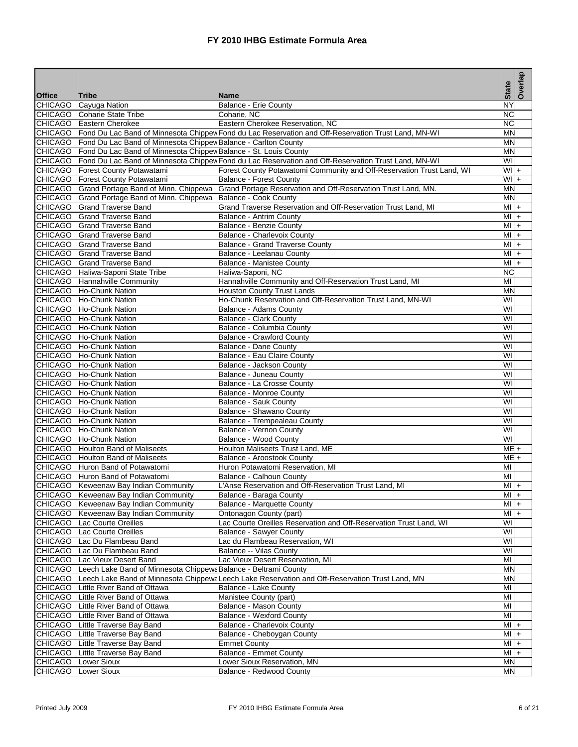|                                 |                                                                            |                                                                                                               | <b>State</b>    | Overlap            |
|---------------------------------|----------------------------------------------------------------------------|---------------------------------------------------------------------------------------------------------------|-----------------|--------------------|
| <b>Office</b><br><b>CHICAGO</b> | <b>Tribe</b>                                                               | <b>Name</b>                                                                                                   | NY              |                    |
|                                 | Cayuga Nation<br>CHICAGO Coharie State Tribe                               | Balance - Erie County<br>Coharie, NC                                                                          | $\overline{NC}$ |                    |
|                                 | CHICAGO Eastern Cherokee                                                   | Eastern Cherokee Reservation, NC                                                                              | ΝC              |                    |
|                                 |                                                                            | CHICAGO Fond Du Lac Band of Minnesota Chippew Fond du Lac Reservation and Off-Reservation Trust Land, MN-WI   | <b>MN</b>       |                    |
|                                 | CHICAGO   Fond Du Lac Band of Minnesota Chippev Balance - Carlton County   |                                                                                                               | MN              |                    |
|                                 | CHICAGO   Fond Du Lac Band of Minnesota Chippev Balance - St. Louis County |                                                                                                               | ΜN              |                    |
|                                 |                                                                            | CHICAGO   Fond Du Lac Band of Minnesota Chippey Fond du Lac Reservation and Off-Reservation Trust Land, MN-WI | WI              |                    |
|                                 | CHICAGO Forest County Potawatami                                           | Forest County Potawatomi Community and Off-Reservation Trust Land, WI                                         | $WI +$          |                    |
|                                 | CHICAGO   Forest County Potawatami                                         | <b>Balance - Forest County</b>                                                                                | $WI +$          |                    |
|                                 | CHICAGO Grand Portage Band of Minn. Chippewa                               | Grand Portage Reservation and Off-Reservation Trust Land, MN.                                                 | <b>MN</b>       |                    |
|                                 | CHICAGO Grand Portage Band of Minn. Chippewa                               | Balance - Cook County                                                                                         | <b>MN</b>       |                    |
| <b>CHICAGO</b>                  | <b>Grand Traverse Band</b>                                                 | Grand Traverse Reservation and Off-Reservation Trust Land, MI                                                 | MI              | l+                 |
| <b>CHICAGO</b>                  | <b>Grand Traverse Band</b>                                                 | <b>Balance - Antrim County</b>                                                                                | $MI +$          |                    |
|                                 | CHICAGO Grand Traverse Band                                                | <b>Balance - Benzie County</b>                                                                                | $MI +$          |                    |
|                                 | <b>CHICAGO</b> Grand Traverse Band                                         | Balance - Charlevoix County                                                                                   | MI              | $\left  + \right $ |
| <b>CHICAGO</b>                  | <b>Grand Traverse Band</b>                                                 | Balance - Grand Traverse County                                                                               | MI              | $+$                |
|                                 | CHICAGO Grand Traverse Band                                                | Balance - Leelanau County                                                                                     | MI              | $+$                |
|                                 | CHICAGO Grand Traverse Band                                                | <b>Balance - Manistee County</b>                                                                              | MI              | $+$                |
|                                 | CHICAGO   Haliwa-Saponi State Tribe                                        | Haliwa-Saponi, NC                                                                                             | ΝC              |                    |
|                                 | CHICAGO Hannahville Community                                              | Hannahville Community and Off-Reservation Trust Land, MI                                                      | MI              |                    |
|                                 | CHICAGO Ho-Chunk Nation                                                    | Houston County Trust Lands                                                                                    | MN              |                    |
|                                 | CHICAGO Ho-Chunk Nation                                                    | Ho-Chunk Reservation and Off-Reservation Trust Land, MN-WI                                                    | WI              |                    |
|                                 | CHICAGO Ho-Chunk Nation                                                    | <b>Balance - Adams County</b>                                                                                 | WI              |                    |
|                                 | CHICAGO Ho-Chunk Nation                                                    | <b>Balance - Clark County</b>                                                                                 | WI              |                    |
|                                 | CHICAGO Ho-Chunk Nation                                                    | Balance - Columbia County                                                                                     | WI              |                    |
|                                 | CHICAGO Ho-Chunk Nation                                                    | <b>Balance - Crawford County</b>                                                                              | WI              |                    |
|                                 | CHICAGO Ho-Chunk Nation                                                    | Balance - Dane County                                                                                         | W١              |                    |
|                                 | CHICAGO Ho-Chunk Nation                                                    | Balance - Eau Claire County                                                                                   | WI              |                    |
|                                 | CHICAGO Ho-Chunk Nation                                                    | Balance - Jackson County                                                                                      | WI              |                    |
|                                 | CHICAGO Ho-Chunk Nation                                                    | Balance - Juneau County                                                                                       | WI              |                    |
|                                 | CHICAGO   Ho-Chunk Nation                                                  | Balance - La Crosse County                                                                                    | WI              |                    |
|                                 | CHICAGO Ho-Chunk Nation                                                    | Balance - Monroe County                                                                                       | WI              |                    |
| <b>CHICAGO</b>                  | <b>Ho-Chunk Nation</b>                                                     | <b>Balance - Sauk County</b>                                                                                  | WI              |                    |
|                                 | CHICAGO Ho-Chunk Nation                                                    | Balance - Shawano County                                                                                      | WI              |                    |
|                                 | CHICAGO Ho-Chunk Nation                                                    | Balance - Trempealeau County                                                                                  | WI              |                    |
|                                 | CHICAGO Ho-Chunk Nation                                                    | <b>Balance - Vernon County</b>                                                                                | WI              |                    |
|                                 | CHICAGO Ho-Chunk Nation                                                    | Balance - Wood County                                                                                         | WI              |                    |
|                                 | <b>CHICAGO</b> Houlton Band of Maliseets                                   | Houlton Maliseets Trust Land, ME                                                                              | $ME +$          |                    |
|                                 | CHICAGO Houlton Band of Maliseets                                          | Balance - Aroostook County                                                                                    | $ME +$          |                    |
|                                 | CHICAGO Huron Band of Potawatomi                                           | Huron Potawatomi Reservation, MI                                                                              | MI              |                    |
|                                 | CHICAGO Huron Band of Potawatomi                                           | Balance - Calhoun County                                                                                      | MI              |                    |
|                                 | CHICAGO   Keweenaw Bay Indian Community                                    | L'Anse Reservation and Off-Reservation Trust Land, MI                                                         | $MI +$          |                    |
|                                 | CHICAGO Keweenaw Bay Indian Community                                      | Balance - Baraga County                                                                                       | $MI +$          |                    |
|                                 | CHICAGO   Keweenaw Bay Indian Community                                    | <b>Balance - Marquette County</b>                                                                             | $MI +$          |                    |
|                                 | CHICAGO   Keweenaw Bay Indian Community                                    | Ontonagon County (part)                                                                                       | MI I+           |                    |
|                                 | CHICAGO   Lac Courte Oreilles                                              | Lac Courte Oreilles Reservation and Off-Reservation Trust Land, WI                                            | WI              |                    |
| <b>CHICAGO</b>                  | Lac Courte Oreilles                                                        | <b>Balance - Sawyer County</b>                                                                                | WI              |                    |
| <b>CHICAGO</b>                  | Lac Du Flambeau Band                                                       | Lac du Flambeau Reservation, WI                                                                               | WI              |                    |
| <b>CHICAGO</b>                  | Lac Du Flambeau Band                                                       | Balance -- Vilas County                                                                                       | WI              |                    |
|                                 | CHICAGO Lac Vieux Desert Band                                              | Lac Vieux Desert Reservation, MI                                                                              | MI              |                    |
| <b>CHICAGO</b>                  | Leech Lake Band of Minnesota Chippewa Balance - Beltrami County            |                                                                                                               | M٨              |                    |
|                                 | CHICAGO Little River Band of Ottawa                                        | CHICAGO   Leech Lake Band of Minnesota Chippewa Leech Lake Reservation and Off-Reservation Trust Land, MN     | M٨              |                    |
| <b>CHICAGO</b>                  | Little River Band of Ottawa                                                | Balance - Lake County                                                                                         | MI<br>MI        |                    |
|                                 | Little River Band of Ottawa                                                | Manistee County (part)                                                                                        |                 |                    |
| <b>CHICAGO</b>                  |                                                                            | Balance - Mason County                                                                                        | MI<br>MI        |                    |
| CHICAGO                         | Little River Band of Ottawa<br>CHICAGO Little Traverse Bay Band            | <b>Balance - Wexford County</b><br>Balance - Charlevoix County                                                | $MI +$          |                    |
| <b>CHICAGO</b>                  | Little Traverse Bay Band                                                   | Balance - Cheboygan County                                                                                    | MI              |                    |
| <b>CHICAGO</b>                  | Little Traverse Bay Band                                                   | <b>Emmet County</b>                                                                                           | $M$ +           | l+                 |
|                                 | CHICAGO Little Traverse Bay Band                                           | <b>Balance - Emmet County</b>                                                                                 | MI +            |                    |
|                                 | <b>Lower Sioux</b>                                                         | Lower Sioux Reservation, MN                                                                                   | MN              |                    |
| CHICAGO                         |                                                                            |                                                                                                               |                 |                    |
| CHICAGO                         | Lower Sioux                                                                | Balance - Redwood County                                                                                      | MN              |                    |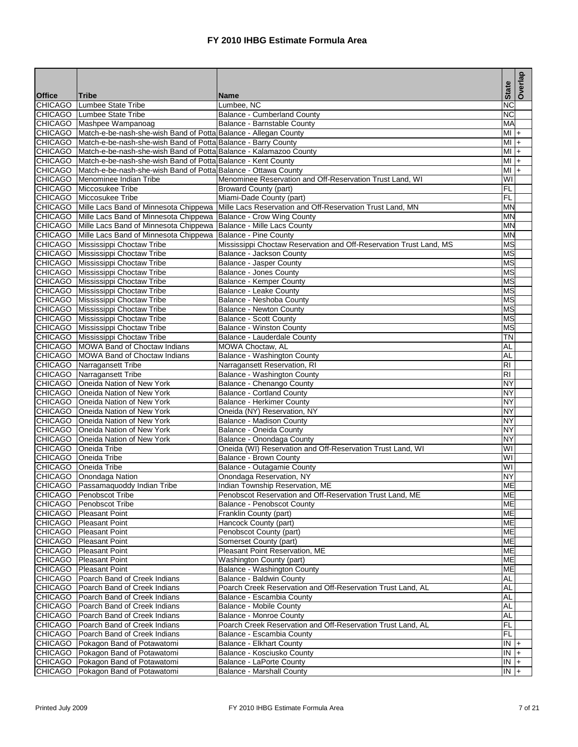|                                 |                                                                             |                                                                                                             | <b>State</b>             | Overlap |
|---------------------------------|-----------------------------------------------------------------------------|-------------------------------------------------------------------------------------------------------------|--------------------------|---------|
| <b>Office</b><br><b>CHICAGO</b> | <b>Tribe</b><br>Lumbee State Tribe                                          | <b>Name</b><br>Lumbee, NC                                                                                   | $\overline{\text{NC}}$   |         |
|                                 | CHICAGO Lumbee State Tribe                                                  | <b>Balance - Cumberland County</b>                                                                          | $\overline{\text{NC}}$   |         |
|                                 | CHICAGO Mashpee Wampanoag                                                   | Balance - Barnstable County                                                                                 | MA                       |         |
|                                 | CHICAGO Match-e-be-nash-she-wish Band of Potta Balance - Allegan County     |                                                                                                             | $Ml +$                   |         |
|                                 | CHICAGO Match-e-be-nash-she-wish Band of Potta Balance - Barry County       |                                                                                                             | ΜI                       | $+$     |
|                                 | CHICAGO Match-e-be-nash-she-wish Band of Potta Balance - Kalamazoo County   |                                                                                                             | MI I+                    |         |
|                                 | CHICAGO Match-e-be-nash-she-wish Band of Potta Balance - Kent County        |                                                                                                             | MI                       | $+$     |
|                                 | CHICAGO Match-e-be-nash-she-wish Band of Potta Balance - Ottawa County      |                                                                                                             | MI                       | $+$     |
|                                 | CHICAGO Menominee Indian Tribe                                              | Menominee Reservation and Off-Reservation Trust Land, WI                                                    | WI                       |         |
|                                 | CHICAGO Miccosukee Tribe                                                    | <b>Broward County (part)</b>                                                                                | FL                       |         |
|                                 | CHICAGO Miccosukee Tribe                                                    | Miami-Dade County (part)                                                                                    | FL                       |         |
|                                 |                                                                             | CHICAGO   Mille Lacs Band of Minnesota Chippewa   Mille Lacs Reservation and Off-Reservation Trust Land, MN | <b>MN</b>                |         |
|                                 | CHICAGO Mille Lacs Band of Minnesota Chippewa Balance - Crow Wing County    |                                                                                                             | MN                       |         |
|                                 | CHICAGO Mille Lacs Band of Minnesota Chippewa   Balance - Mille Lacs County |                                                                                                             | <b>MN</b>                |         |
|                                 | CHICAGO Mille Lacs Band of Minnesota Chippewa Balance - Pine County         |                                                                                                             | <b>MN</b>                |         |
|                                 | CHICAGO Mississippi Choctaw Tribe                                           | Mississippi Choctaw Reservation and Off-Reservation Trust Land, MS                                          | <b>MS</b>                |         |
|                                 | CHICAGO Mississippi Choctaw Tribe                                           | Balance - Jackson County                                                                                    | $\overline{\text{MS}}$   |         |
|                                 | CHICAGO Mississippi Choctaw Tribe                                           | Balance - Jasper County                                                                                     | $\overline{\mathsf{MS}}$ |         |
|                                 | CHICAGO Mississippi Choctaw Tribe                                           | <b>Balance - Jones County</b>                                                                               | <b>MS</b>                |         |
|                                 | CHICAGO Mississippi Choctaw Tribe                                           | Balance - Kemper County                                                                                     | <b>MS</b>                |         |
|                                 | CHICAGO Mississippi Choctaw Tribe                                           | Balance - Leake County                                                                                      | $\overline{\text{MS}}$   |         |
|                                 | CHICAGO Mississippi Choctaw Tribe                                           | Balance - Neshoba County                                                                                    | <b>MS</b>                |         |
|                                 | CHICAGO Mississippi Choctaw Tribe                                           | <b>Balance - Newton County</b>                                                                              | <b>MS</b>                |         |
|                                 | CHICAGO Mississippi Choctaw Tribe                                           | <b>Balance - Scott County</b>                                                                               | <b>MS</b>                |         |
|                                 | CHICAGO Mississippi Choctaw Tribe                                           | <b>Balance - Winston County</b>                                                                             | MS                       |         |
|                                 | CHICAGO Mississippi Choctaw Tribe                                           | Balance - Lauderdale County                                                                                 | ΤN                       |         |
|                                 | CHICAGO   MOWA Band of Choctaw Indians                                      | MOWA Choctaw, AL                                                                                            | AL                       |         |
|                                 | CHICAGO   MOWA Band of Choctaw Indians                                      | Balance - Washington County                                                                                 | AL                       |         |
|                                 | <b>CHICAGO</b> Narragansett Tribe                                           | Narragansett Reservation, RI                                                                                | <b>RI</b>                |         |
|                                 | CHICAGO Narragansett Tribe                                                  | Balance - Washington County                                                                                 | <b>RI</b>                |         |
|                                 | CHICAGO Oneida Nation of New York                                           | Balance - Chenango County                                                                                   | NY                       |         |
|                                 | CHICAGO Oneida Nation of New York                                           | <b>Balance - Cortland County</b>                                                                            | NY                       |         |
|                                 | CHICAGO   Oneida Nation of New York                                         | <b>Balance - Herkimer County</b>                                                                            | NY                       |         |
|                                 | CHICAGO   Oneida Nation of New York                                         | Oneida (NY) Reservation, NY                                                                                 | NY                       |         |
|                                 | CHICAGO   Oneida Nation of New York                                         | <b>Balance - Madison County</b>                                                                             | NY                       |         |
|                                 | CHICAGO Oneida Nation of New York                                           | Balance - Oneida County                                                                                     | NY                       |         |
|                                 | CHICAGO Oneida Nation of New York                                           | Balance - Onondaga County                                                                                   | NY                       |         |
|                                 | CHICAGO Oneida Tribe                                                        | Oneida (WI) Reservation and Off-Reservation Trust Land, WI                                                  | W١                       |         |
|                                 | CHICAGO Oneida Tribe                                                        | Balance - Brown County                                                                                      | WI                       |         |
|                                 | CHICAGO Oneida Tribe                                                        | Balance - Outagamie County                                                                                  | W١                       |         |
|                                 | CHICAGO   Onondaga Nation                                                   | Onondaga Reservation, NY                                                                                    | NY                       |         |
|                                 | CHICAGO   Passamaquoddy Indian Tribe                                        | Indian Township Reservation, ME                                                                             | ME                       |         |
|                                 | CHICAGO Penobscot Tribe                                                     | Penobscot Reservation and Off-Reservation Trust Land, ME                                                    | ME                       |         |
|                                 | CHICAGO   Penobscot Tribe                                                   | Balance - Penobscot County                                                                                  | ME                       |         |
|                                 | CHICAGO   Pleasant Point                                                    | Franklin County (part)                                                                                      | ME<br><b>ME</b>          |         |
|                                 | CHICAGO Pleasant Point<br>CHICAGO   Pleasant Point                          | Hancock County (part)<br>Penobscot County (part)                                                            | <b>ME</b>                |         |
|                                 | CHICAGO   Pleasant Point                                                    | Somerset County (part)                                                                                      | МE                       |         |
|                                 | CHICAGO Pleasant Point                                                      | Pleasant Point Reservation, ME                                                                              | ME                       |         |
|                                 | CHICAGO Pleasant Point                                                      | Washington County (part)                                                                                    | <b>ME</b>                |         |
|                                 | CHICAGO   Pleasant Point                                                    | Balance - Washington County                                                                                 | МE                       |         |
|                                 | CHICAGO Poarch Band of Creek Indians                                        | Balance - Baldwin County                                                                                    | AL                       |         |
|                                 | CHICAGO   Poarch Band of Creek Indians                                      | Poarch Creek Reservation and Off-Reservation Trust Land, AL                                                 | AL                       |         |
|                                 | CHICAGO Poarch Band of Creek Indians                                        | Balance - Escambia County                                                                                   | AL                       |         |
|                                 | CHICAGO   Poarch Band of Creek Indians                                      | <b>Balance - Mobile County</b>                                                                              | AL                       |         |
|                                 | CHICAGO Poarch Band of Creek Indians                                        | <b>Balance - Monroe County</b>                                                                              | AL                       |         |
|                                 | CHICAGO   Poarch Band of Creek Indians                                      | Poarch Creek Reservation and Off-Reservation Trust Land, AL                                                 | FL                       |         |
|                                 | CHICAGO   Poarch Band of Creek Indians                                      | Balance - Escambia County                                                                                   | FL.                      |         |
|                                 | CHICAGO   Pokagon Band of Potawatomi                                        | <b>Balance - Elkhart County</b>                                                                             | IN 1+                    |         |
|                                 | CHICAGO Pokagon Band of Potawatomi                                          | Balance - Kosciusko County                                                                                  | IN I+                    |         |
|                                 | CHICAGO Pokagon Band of Potawatomi                                          | Balance - LaPorte County                                                                                    | $IN +$                   |         |
|                                 | CHICAGO   Pokagon Band of Potawatomi                                        | <b>Balance - Marshall County</b>                                                                            | $\frac{1}{1}$            |         |
|                                 |                                                                             |                                                                                                             |                          |         |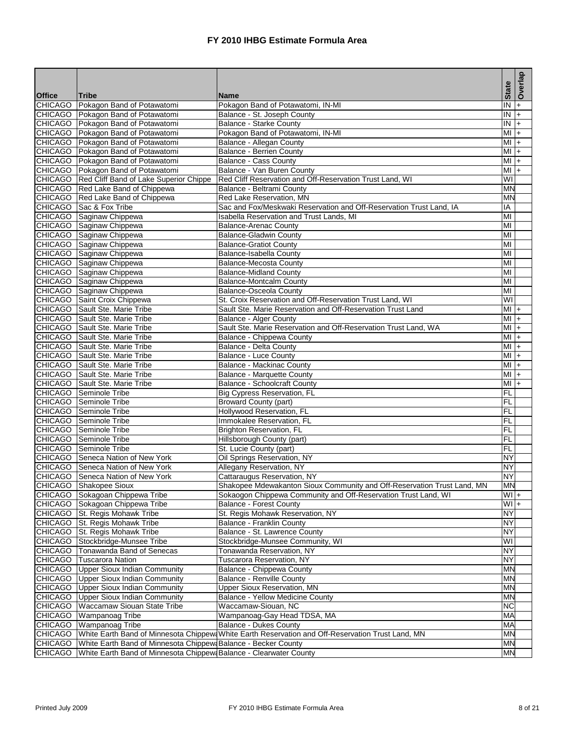|                |                                                                          |                                                                                                          | <b>State</b>  | Overlap                           |
|----------------|--------------------------------------------------------------------------|----------------------------------------------------------------------------------------------------------|---------------|-----------------------------------|
| <b>Office</b>  | <b>Tribe</b>                                                             | <b>Name</b>                                                                                              |               |                                   |
| <b>CHICAGO</b> | Pokagon Band of Potawatomi                                               | Pokagon Band of Potawatomi, IN-MI                                                                        | ĪŃ<br>IN      | $\ddot{}$<br>$\ddot{\phantom{1}}$ |
|                | CHICAGO Pokagon Band of Potawatomi<br>CHICAGO Pokagon Band of Potawatomi | Balance - St. Joseph County<br><b>Balance - Starke County</b>                                            | IN            | $+$                               |
|                | CHICAGO Pokagon Band of Potawatomi                                       | Pokagon Band of Potawatomi, IN-MI                                                                        | MI            |                                   |
|                | CHICAGO Pokagon Band of Potawatomi                                       | Balance - Allegan County                                                                                 | MI            | $+$                               |
|                |                                                                          |                                                                                                          | MI            | $+$                               |
|                | CHICAGO Pokagon Band of Potawatomi<br>CHICAGO Pokagon Band of Potawatomi | Balance - Berrien County<br><b>Balance - Cass County</b>                                                 | MI            | $+$<br>$+$                        |
|                | CHICAGO Pokagon Band of Potawatomi                                       | Balance - Van Buren County                                                                               | MI            | $\ddot{}$                         |
|                | CHICAGO Red Cliff Band of Lake Superior Chippe                           | Red Cliff Reservation and Off-Reservation Trust Land, WI                                                 | WI            |                                   |
|                | CHICAGO Red Lake Band of Chippewa                                        | Balance - Beltrami County                                                                                | <b>MN</b>     |                                   |
|                | CHICAGO Red Lake Band of Chippewa                                        | Red Lake Reservation, MN                                                                                 | MN            |                                   |
|                | CHICAGO Sac & Fox Tribe                                                  | Sac and Fox/Meskwaki Reservation and Off-Reservation Trust Land, IA                                      | ΙA            |                                   |
|                | CHICAGO Saginaw Chippewa                                                 | Isabella Reservation and Trust Lands, MI                                                                 | MI            |                                   |
|                | CHICAGO Saginaw Chippewa                                                 | <b>Balance-Arenac County</b>                                                                             | MI            |                                   |
|                | CHICAGO Saginaw Chippewa                                                 | <b>Balance-Gladwin County</b>                                                                            | MI            |                                   |
|                | CHICAGO Saginaw Chippewa                                                 | <b>Balance-Gratiot County</b>                                                                            | MI            |                                   |
|                | CHICAGO Saginaw Chippewa                                                 | Balance-Isabella County                                                                                  | MI            |                                   |
|                | CHICAGO Saginaw Chippewa                                                 | <b>Balance-Mecosta County</b>                                                                            | MI            |                                   |
|                | CHICAGO Saginaw Chippewa                                                 | <b>Balance-Midland County</b>                                                                            | MI            |                                   |
|                | CHICAGO Saginaw Chippewa                                                 | <b>Balance-Montcalm County</b>                                                                           | MI            |                                   |
|                | CHICAGO Saginaw Chippewa                                                 | <b>Balance-Osceola County</b>                                                                            | MI            |                                   |
|                | CHICAGO Saint Croix Chippewa                                             | St. Croix Reservation and Off-Reservation Trust Land, WI                                                 | W١            |                                   |
|                | CHICAGO Sault Ste. Marie Tribe                                           | Sault Ste. Marie Reservation and Off-Reservation Trust Land                                              | MI            | $+$                               |
|                | CHICAGO Sault Ste. Marie Tribe                                           | Balance - Alger County                                                                                   | MI            | $+$                               |
|                | CHICAGO Sault Ste. Marie Tribe                                           | Sault Ste. Marie Reservation and Off-Reservation Trust Land, WA                                          | $Ml +$        |                                   |
|                | CHICAGO Sault Ste. Marie Tribe                                           | <b>Balance - Chippewa County</b>                                                                         | MI            | $\left  + \right $                |
|                | CHICAGO Sault Ste. Marie Tribe                                           | Balance - Delta County                                                                                   | MI            | $+$                               |
|                | CHICAGO Sault Ste. Marie Tribe                                           | <b>Balance - Luce County</b>                                                                             | $MI +$        |                                   |
|                | CHICAGO Sault Ste. Marie Tribe                                           | <b>Balance - Mackinac County</b>                                                                         | MI            | $+$                               |
|                | CHICAGO Sault Ste. Marie Tribe                                           | Balance - Marquette County                                                                               | MI            | $+$                               |
|                | CHICAGO Sault Ste. Marie Tribe                                           | Balance - Schoolcraft County                                                                             | MI            | $+$                               |
|                | <b>CHICAGO</b> Seminole Tribe                                            | Big Cypress Reservation, FL                                                                              | FL            |                                   |
|                | CHICAGO Seminole Tribe                                                   | <b>Broward County (part)</b>                                                                             | FL            |                                   |
|                | CHICAGO Seminole Tribe                                                   | Hollywood Reservation, FL                                                                                | FL            |                                   |
|                | CHICAGO Seminole Tribe                                                   | Immokalee Reservation, FL                                                                                | FL            |                                   |
|                | CHICAGO Seminole Tribe                                                   | Brighton Reservation, FL                                                                                 | FL            |                                   |
|                | CHICAGO Seminole Tribe                                                   | Hillsborough County (part)                                                                               | FL            |                                   |
|                | CHICAGO Seminole Tribe                                                   | St. Lucie County (part)                                                                                  | FL            |                                   |
|                | CHICAGO Seneca Nation of New York                                        | Oil Springs Reservation, NY                                                                              | NY            |                                   |
|                | CHICAGO Seneca Nation of New York                                        | Allegany Reservation, NY                                                                                 | NY            |                                   |
|                | CHICAGO Seneca Nation of New York                                        | Cattaraugus Reservation, NY                                                                              | NY            |                                   |
|                | CHICAGO Shakopee Sioux                                                   | Shakopee Mdewakanton Sioux Community and Off-Reservation Trust Land, MN                                  | <b>MN</b>     |                                   |
|                | CHICAGO Sokagoan Chippewa Tribe                                          | Sokaogon Chippewa Community and Off-Reservation Trust Land, WI                                           | $+ W $        |                                   |
|                | CHICAGO Sokagoan Chippewa Tribe                                          | <b>Balance - Forest County</b>                                                                           | $\frac{1}{2}$ |                                   |
|                | CHICAGO St. Regis Mohawk Tribe                                           | St. Regis Mohawk Reservation, NY                                                                         | <b>NY</b>     |                                   |
|                | CHICAGO St. Regis Mohawk Tribe                                           | Balance - Franklin County                                                                                | NY            |                                   |
|                | CHICAGO St. Regis Mohawk Tribe                                           | Balance - St. Lawrence County                                                                            | <b>NY</b>     |                                   |
|                | CHICAGO Stockbridge-Munsee Tribe                                         | Stockbridge-Munsee Community, WI                                                                         | W١            |                                   |
|                | CHICAGO   Tonawanda Band of Senecas                                      | Tonawanda Reservation, NY                                                                                | NY            |                                   |
|                | CHICAGO Tuscarora Nation                                                 | Tuscarora Reservation, NY                                                                                | NY            |                                   |
|                | <b>CHICAGO</b> Upper Sioux Indian Community                              | Balance - Chippewa County                                                                                | <b>MN</b>     |                                   |
|                | <b>CHICAGO</b> Upper Sioux Indian Community                              | <b>Balance - Renville County</b>                                                                         | ΜN            |                                   |
|                | CHICAGO Upper Sioux Indian Community                                     | Upper Sioux Reservation, MN                                                                              | <b>MN</b>     |                                   |
| <b>CHICAGO</b> | <b>Upper Sioux Indian Community</b>                                      | Balance - Yellow Medicine County                                                                         | MN            |                                   |
| <b>CHICAGO</b> | <b>Waccamaw Siouan State Tribe</b>                                       | Waccamaw-Siouan, NC                                                                                      | <b>NC</b>     |                                   |
| <b>CHICAGO</b> | Wampanoag Tribe                                                          | Wampanoag-Gay Head TDSA, MA                                                                              | MA            |                                   |
|                | CHICAGO Wampanoag Tribe                                                  | <b>Balance - Dukes County</b>                                                                            | MA            |                                   |
|                |                                                                          | CHICAGO White Earth Band of Minnesota Chippew White Earth Reservation and Off-Reservation Trust Land, MN | <b>MN</b>     |                                   |
|                | CHICAGO White Earth Band of Minnesota Chippew Balance - Becker County    |                                                                                                          | MN            |                                   |
| <b>CHICAGO</b> | White Earth Band of Minnesota Chippew Balance - Clearwater County        |                                                                                                          | <b>MN</b>     |                                   |
|                |                                                                          |                                                                                                          |               |                                   |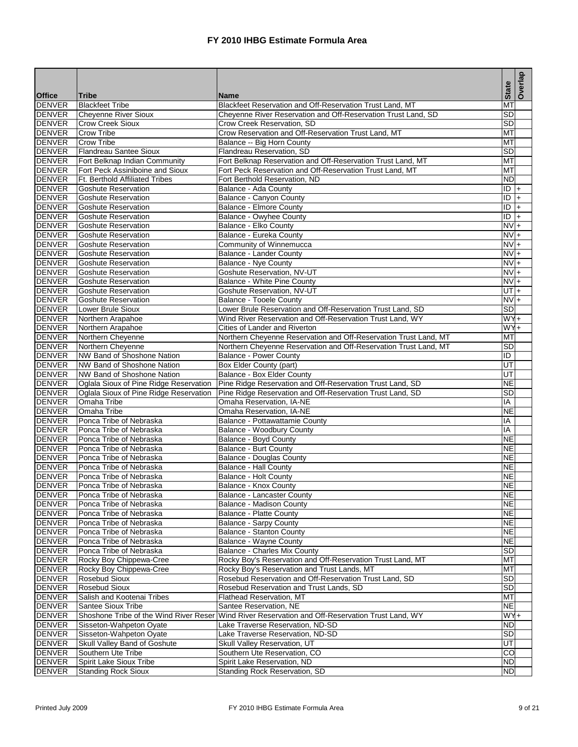|                                |                                                                                  |                                                                                                                        | <b>State</b>           | Overlap |
|--------------------------------|----------------------------------------------------------------------------------|------------------------------------------------------------------------------------------------------------------------|------------------------|---------|
| <b>Office</b><br><b>DENVER</b> | <b>Tribe</b><br><b>Blackfeet Tribe</b>                                           | <b>Name</b><br>Blackfeet Reservation and Off-Reservation Trust Land, MT                                                | MT                     |         |
| <b>DENVER</b>                  | <b>Cheyenne River Sioux</b>                                                      | Cheyenne River Reservation and Off-Reservation Trust Land, SD                                                          | $\overline{\text{SD}}$ |         |
| <b>DENVER</b>                  | <b>Crow Creek Sioux</b>                                                          | Crow Creek Reservation, SD                                                                                             | SD                     |         |
| <b>DENVER</b>                  | <b>Crow Tribe</b>                                                                | Crow Reservation and Off-Reservation Trust Land, MT                                                                    | MT                     |         |
| <b>DENVER</b>                  | <b>Crow Tribe</b>                                                                | Balance -- Big Horn County                                                                                             | МT                     |         |
| <b>DENVER</b>                  | <b>Flandreau Santee Sioux</b>                                                    | Flandreau Reservation, SD                                                                                              | SD                     |         |
| <b>DENVER</b>                  | Fort Belknap Indian Community                                                    | Fort Belknap Reservation and Off-Reservation Trust Land, MT                                                            | MT                     |         |
| <b>DENVER</b>                  | Fort Peck Assiniboine and Sioux                                                  | Fort Peck Reservation and Off-Reservation Trust Land, MT                                                               | MT                     |         |
| <b>DENVER</b>                  | Ft. Berthold Affiliated Tribes                                                   | Fort Berthold Reservation, ND                                                                                          | <b>ND</b>              |         |
| <b>DENVER</b>                  | Goshute Reservation                                                              | Balance - Ada County                                                                                                   | ID                     | $+$     |
| DENVER                         | <b>Goshute Reservation</b>                                                       | Balance - Canyon County                                                                                                | ID                     | $+$     |
| DENVER                         | <b>Goshute Reservation</b>                                                       | Balance - Elmore County                                                                                                | ID                     | $\ddag$ |
| <b>DENVER</b>                  | <b>Goshute Reservation</b>                                                       | Balance - Owyhee County                                                                                                | ĪD                     | $+$     |
| <b>DENVER</b>                  | <b>Goshute Reservation</b>                                                       | Balance - Elko County                                                                                                  | $NVI +$                |         |
| <b>DENVER</b>                  | <b>Goshute Reservation</b>                                                       | Balance - Eureka County                                                                                                | $NVI +$                |         |
| <b>DENVER</b>                  | <b>Goshute Reservation</b>                                                       | Community of Winnemucca                                                                                                | $\overline{NV}$ +      |         |
| <b>DENVER</b>                  | <b>Goshute Reservation</b>                                                       | <b>Balance - Lander County</b>                                                                                         | $NVI +$                |         |
| <b>DENVER</b>                  | <b>Goshute Reservation</b>                                                       | <b>Balance - Nye County</b>                                                                                            | $NVI +$                |         |
| <b>DENVER</b>                  | <b>Goshute Reservation</b>                                                       | Goshute Reservation, NV-UT                                                                                             | <b>NV</b>              | $+$     |
| <b>DENVER</b>                  | <b>Goshute Reservation</b>                                                       | Balance - White Pine County                                                                                            | $NVI +$                |         |
| <b>DENVER</b>                  | <b>Goshute Reservation</b>                                                       | Goshute Reservation, NV-UT                                                                                             | $U$ T $+$              |         |
| <b>DENVER</b>                  | <b>Goshute Reservation</b>                                                       | <b>Balance - Tooele County</b>                                                                                         | $NVI +$                |         |
| <b>DENVER</b>                  | <b>Lower Brule Sioux</b>                                                         | Lower Brule Reservation and Off-Reservation Trust Land, SD                                                             | $\overline{\text{SD}}$ |         |
| <b>DENVER</b>                  | Northern Arapahoe                                                                | Wind River Reservation and Off-Reservation Trust Land, WY                                                              | $WY +$                 |         |
| <b>DENVER</b>                  | Northern Arapahoe                                                                | Cities of Lander and Riverton                                                                                          | $WY +$                 |         |
| <b>DENVER</b>                  | Northern Cheyenne                                                                | Northern Cheyenne Reservation and Off-Reservation Trust Land, MT                                                       | МT                     |         |
| <b>DENVER</b>                  | Northern Cheyenne                                                                | Northern Cheyenne Reservation and Off-Reservation Trust Land, MT                                                       | SD                     |         |
| <b>DENVER</b>                  | NW Band of Shoshone Nation                                                       | <b>Balance - Power County</b>                                                                                          | ID                     |         |
| <b>DENVER</b>                  | NW Band of Shoshone Nation                                                       | <b>Box Elder County (part)</b>                                                                                         | UT                     |         |
| <b>DENVER</b>                  | NW Band of Shoshone Nation                                                       | Balance - Box Elder County                                                                                             | UT                     |         |
| <b>DENVER</b><br><b>DENVER</b> | Oglala Sioux of Pine Ridge Reservation<br>Oglala Sioux of Pine Ridge Reservation | Pine Ridge Reservation and Off-Reservation Trust Land, SD<br>Pine Ridge Reservation and Off-Reservation Trust Land, SD | <b>NE</b><br>SD        |         |
| <b>DENVER</b>                  | Omaha Tribe                                                                      | Omaha Reservation, IA-NE                                                                                               | ΙA                     |         |
| <b>DENVER</b>                  | Omaha Tribe                                                                      | Omaha Reservation, IA-NE                                                                                               | <b>NE</b>              |         |
| <b>DENVER</b>                  | Ponca Tribe of Nebraska                                                          | Balance - Pottawattamie County                                                                                         | ΙA                     |         |
| <b>DENVER</b>                  | Ponca Tribe of Nebraska                                                          | Balance - Woodbury County                                                                                              | ΙA                     |         |
| <b>DENVER</b>                  | Ponca Tribe of Nebraska                                                          | <b>Balance - Boyd County</b>                                                                                           | <b>NE</b>              |         |
| <b>DENVER</b>                  | Ponca Tribe of Nebraska                                                          | <b>Balance - Burt County</b>                                                                                           | NE                     |         |
| <b>DENVER</b>                  | Ponca Tribe of Nebraska                                                          | <b>Balance - Douglas County</b>                                                                                        | <b>NE</b>              |         |
| <b>DENVER</b>                  | Ponca Tribe of Nebraska                                                          | Balance - Hall County                                                                                                  | <b>NE</b>              |         |
| <b>DENVER</b>                  | Ponca Tribe of Nebraska                                                          | <b>Balance - Holt County</b>                                                                                           | <b>NE</b>              |         |
| <b>DENVER</b>                  | Ponca Tribe of Nebraska                                                          | Balance - Knox County                                                                                                  | <b>NE</b>              |         |
| <b>DENVER</b>                  | Ponca Tribe of Nebraska                                                          | Balance - Lancaster County                                                                                             | <b>NE</b>              |         |
| <b>DENVER</b>                  | Ponca Tribe of Nebraska                                                          | <b>Balance - Madison County</b>                                                                                        | NΕ                     |         |
| <b>DENVER</b>                  | Ponca Tribe of Nebraska                                                          | <b>Balance - Platte County</b>                                                                                         | <b>NE</b>              |         |
| <b>DENVER</b>                  | Ponca Tribe of Nebraska                                                          | Balance - Sarpy County                                                                                                 | <b>NE</b>              |         |
| <b>DENVER</b>                  | Ponca Tribe of Nebraska                                                          | <b>Balance - Stanton County</b>                                                                                        | <b>NE</b>              |         |
| <b>DENVER</b>                  | Ponca Tribe of Nebraska                                                          | Balance - Wayne County                                                                                                 | <b>NE</b>              |         |
| <b>DENVER</b>                  | Ponca Tribe of Nebraska                                                          | Balance - Charles Mix County                                                                                           | <b>SD</b>              |         |
| <b>DENVER</b>                  | Rocky Boy Chippewa-Cree                                                          | Rocky Boy's Reservation and Off-Reservation Trust Land, MT                                                             | МT                     |         |
| <b>DENVER</b>                  | Rocky Boy Chippewa-Cree                                                          | Rocky Boy's Reservation and Trust Lands, MT                                                                            | мт                     |         |
| <b>DENVER</b>                  | Rosebud Sioux                                                                    | Rosebud Reservation and Off-Reservation Trust Land, SD                                                                 | <b>SD</b>              |         |
| <b>DENVER</b>                  | <b>Rosebud Sioux</b>                                                             | Rosebud Reservation and Trust Lands, SD                                                                                | <b>SD</b>              |         |
| <b>DENVER</b>                  | Salish and Kootenai Tribes                                                       | <b>Flathead Reservation, MT</b>                                                                                        | MT                     |         |
| <b>DENVER</b>                  | Santee Sioux Tribe                                                               | Santee Reservation, NE                                                                                                 | <b>NE</b>              |         |
| <b>DENVER</b>                  |                                                                                  | Shoshone Tribe of the Wind River Reser Wind River Reservation and Off-Reservation Trust Land, WY                       | $WY +$                 |         |
| <b>DENVER</b>                  | Sisseton-Wahpeton Oyate                                                          | Lake Traverse Reservation, ND-SD                                                                                       | <b>ND</b>              |         |
| <b>DENVER</b>                  | Sisseton-Wahpeton Oyate                                                          | Lake Traverse Reservation, ND-SD                                                                                       | <b>SD</b>              |         |
| <b>DENVER</b>                  | Skull Valley Band of Goshute                                                     | Skull Valley Reservation, UT                                                                                           | UT                     |         |
| <b>DENVER</b>                  | Southern Ute Tribe                                                               | Southern Ute Reservation, CO                                                                                           | CO                     |         |
| <b>DENVER</b>                  | Spirit Lake Sioux Tribe                                                          | Spirit Lake Reservation, ND                                                                                            | <b>ND</b>              |         |
| <b>DENVER</b>                  | <b>Standing Rock Sioux</b>                                                       | Standing Rock Reservation, SD                                                                                          | <b>ND</b>              |         |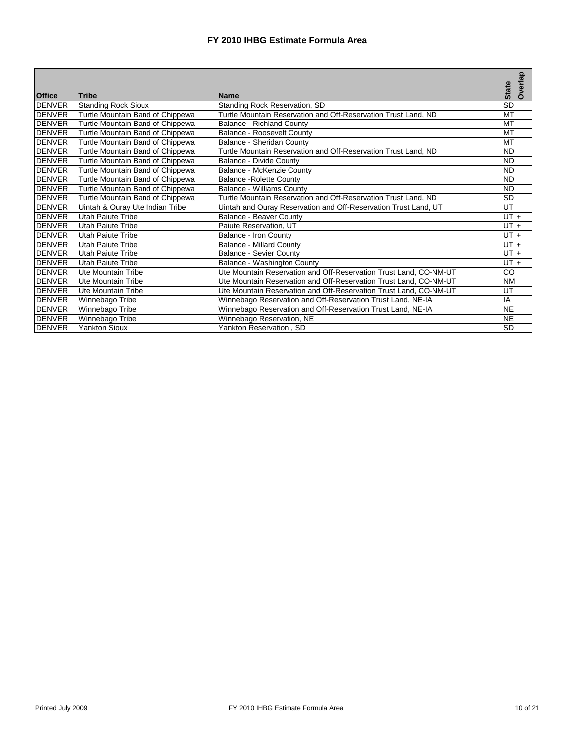|               |                                  |                                                                   |                   | Overlap |
|---------------|----------------------------------|-------------------------------------------------------------------|-------------------|---------|
| <b>Office</b> | <b>Tribe</b>                     | <b>Name</b>                                                       | <b>State</b>      |         |
| <b>DENVER</b> | <b>Standing Rock Sioux</b>       | <b>Standing Rock Reservation, SD</b>                              | SD                |         |
| <b>DENVER</b> | Turtle Mountain Band of Chippewa | Turtle Mountain Reservation and Off-Reservation Trust Land, ND    | M <sub>1</sub>    |         |
| <b>DENVER</b> | Turtle Mountain Band of Chippewa | <b>Balance - Richland County</b>                                  | <b>MT</b>         |         |
| <b>DENVER</b> | Turtle Mountain Band of Chippewa | <b>Balance - Roosevelt County</b>                                 | M <sub>1</sub>    |         |
| <b>DENVER</b> | Turtle Mountain Band of Chippewa | Balance - Sheridan County                                         | MT                |         |
| <b>DENVER</b> | Turtle Mountain Band of Chippewa | Turtle Mountain Reservation and Off-Reservation Trust Land, ND    | <b>ND</b>         |         |
| <b>DENVER</b> | Turtle Mountain Band of Chippewa | Balance - Divide County                                           | <b>ND</b>         |         |
| <b>DENVER</b> | Turtle Mountain Band of Chippewa | Balance - McKenzie County                                         | <b>ND</b>         |         |
| <b>DENVER</b> | Turtle Mountain Band of Chippewa | <b>Balance - Rolette County</b>                                   | <b>ND</b>         |         |
| <b>DENVER</b> | Turtle Mountain Band of Chippewa | <b>Balance - Williams County</b>                                  | <b>ND</b>         |         |
| <b>DENVER</b> | Turtle Mountain Band of Chippewa | Turtle Mountain Reservation and Off-Reservation Trust Land, ND    | <b>SD</b>         |         |
| <b>DENVER</b> | Uintah & Ouray Ute Indian Tribe  | Uintah and Ouray Reservation and Off-Reservation Trust Land, UT   | UT                |         |
| <b>DENVER</b> | <b>Utah Paiute Tribe</b>         | <b>Balance - Beaver County</b>                                    | $UT +$            |         |
| <b>DENVER</b> | <b>Utah Paiute Tribe</b>         | Paiute Reservation, UT                                            | UT $\overline{+}$ |         |
| <b>DENVER</b> | Utah Paiute Tribe                | Balance - Iron County                                             | $UT +$            |         |
| <b>DENVER</b> | Utah Paiute Tribe                | <b>Balance - Millard County</b>                                   | $UT +$            |         |
| <b>DENVER</b> | Utah Paiute Tribe                | <b>Balance - Sevier County</b>                                    | $UT +$            |         |
| <b>DENVER</b> | Utah Paiute Tribe                | Balance - Washington County                                       | $UTI +$           |         |
| <b>DENVER</b> | Ute Mountain Tribe               | Ute Mountain Reservation and Off-Reservation Trust Land, CO-NM-UT | CO                |         |
| <b>DENVER</b> | <b>Ute Mountain Tribe</b>        | Ute Mountain Reservation and Off-Reservation Trust Land, CO-NM-UT | <b>NM</b>         |         |
| <b>DENVER</b> | Ute Mountain Tribe               | Ute Mountain Reservation and Off-Reservation Trust Land, CO-NM-UT | UT                |         |
| <b>DENVER</b> | Winnebago Tribe                  | Winnebago Reservation and Off-Reservation Trust Land, NE-IA       | IA                |         |
| <b>DENVER</b> | Winnebago Tribe                  | Winnebago Reservation and Off-Reservation Trust Land, NE-IA       | <b>NE</b>         |         |
| <b>DENVER</b> | Winnebago Tribe                  | Winnebago Reservation, NE                                         | <b>NE</b>         |         |
| <b>DENVER</b> | <b>Yankton Sioux</b>             | Yankton Reservation, SD                                           | <b>SD</b>         |         |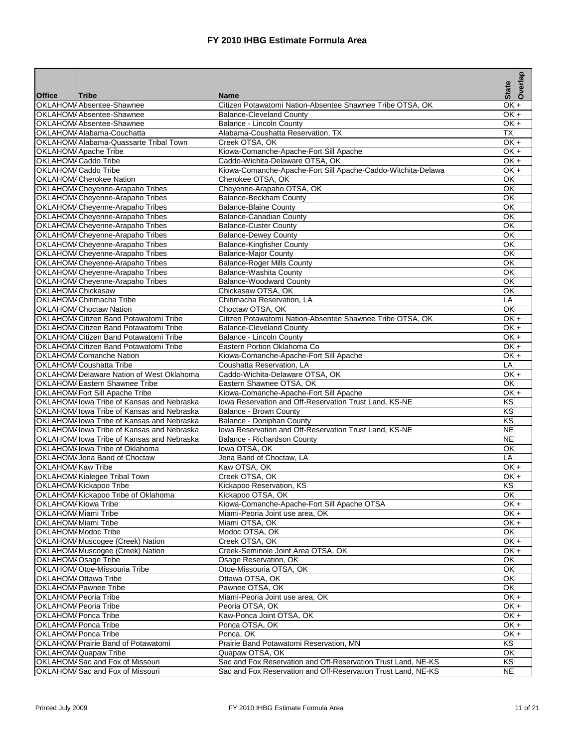|                   |                                                                     |                                                                          | <b>State</b>             | Overlap              |
|-------------------|---------------------------------------------------------------------|--------------------------------------------------------------------------|--------------------------|----------------------|
| <b>Office</b>     | <b>Tribe</b><br>OKLAHOMAAbsentee-Shawnee                            | <b>Name</b><br>Citizen Potawatomi Nation-Absentee Shawnee Tribe OTSA, OK | QK                       | $\ddot{}$            |
|                   | OKLAHOMAAbsentee-Shawnee                                            | <b>Balance-Cleveland County</b>                                          | $\overline{\mathsf{QK}}$ | $\ddot{\phantom{1}}$ |
|                   | OKLAHOM/Absentee-Shawnee                                            | Balance - Lincoln County                                                 | OKF                      |                      |
|                   | OKLAHOMAAlabama-Couchatta                                           | Alabama-Coushatta Reservation, TX                                        | ТX                       |                      |
|                   | OKLAHOMA Alabama-Quassarte Tribal Town                              | Creek OTSA, OK                                                           | $\overline{OK}$ +        |                      |
|                   | <b>OKLAHOMAApache Tribe</b>                                         | Kiowa-Comanche-Apache-Fort Sill Apache                                   | OKI+                     |                      |
|                   | OKLAHOM4Caddo Tribe                                                 | Caddo-Wichita-Delaware OTSA, OK                                          | OK +                     |                      |
|                   | OKLAHOMACaddo Tribe                                                 | Kiowa-Comanche-Apache-Fort Sill Apache-Caddo-Witchita-Delawa             | OK +                     |                      |
|                   | OKLAHOMA Cherokee Nation                                            | Cherokee OTSA, OK                                                        | OK                       |                      |
|                   | OKLAHOM/Cheyenne-Arapaho Tribes                                     | Cheyenne-Arapaho OTSA, OK                                                | ОK                       |                      |
|                   | OKLAHOM/Cheyenne-Arapaho Tribes                                     | Balance-Beckham County                                                   | OK                       |                      |
|                   | OKLAHOMA Cheyenne-Arapaho Tribes                                    | <b>Balance-Blaine County</b>                                             | ОK                       |                      |
|                   | OKLAHOM/Cheyenne-Arapaho Tribes                                     | <b>Balance-Canadian County</b>                                           | ОK                       |                      |
|                   | OKLAHOM4 Cheyenne-Arapaho Tribes                                    | <b>Balance-Custer County</b>                                             | ОK                       |                      |
|                   | OKLAHOM4 Cheyenne-Arapaho Tribes                                    | <b>Balance-Dewey County</b>                                              | ОK                       |                      |
|                   | OKLAHOM/Cheyenne-Arapaho Tribes                                     | <b>Balance-Kingfisher County</b>                                         | ОK                       |                      |
|                   | OKLAHOM/Cheyenne-Arapaho Tribes                                     | <b>Balance-Major County</b>                                              | ОΚ                       |                      |
|                   | OKLAHOM/Cheyenne-Arapaho Tribes<br>OKLAHOM4 Cheyenne-Arapaho Tribes | <b>Balance-Roger Mills County</b><br>Balance-Washita County              | ОK<br>ОK                 |                      |
|                   | OKLAHOM/Cheyenne-Arapaho Tribes                                     | <b>Balance-Woodward County</b>                                           | OK                       |                      |
| OKLAHOMAChickasaw |                                                                     | Chickasaw OTSA, OK                                                       | ОK                       |                      |
|                   | OKLAHOMAChitimacha Tribe                                            | Chitimacha Reservation, LA                                               | LA                       |                      |
|                   | OKLAHOMAChoctaw Nation                                              | Choctaw OTSA, OK                                                         | ОK                       |                      |
|                   | OKLAHOMA Citizen Band Potawatomi Tribe                              | Citizen Potawatomi Nation-Absentee Shawnee Tribe OTSA, OK                | OK +                     |                      |
|                   | OKLAHOMA Citizen Band Potawatomi Tribe                              | <b>Balance-Cleveland County</b>                                          | OK +                     |                      |
|                   | OKLAHOMACitizen Band Potawatomi Tribe                               | Balance - Lincoln County                                                 | $\overline{OK}$ +        |                      |
|                   | OKLAHOMA Citizen Band Potawatomi Tribe                              | Eastern Portion Oklahoma Co                                              | OK +                     |                      |
|                   | OKLAHOMAComanche Nation                                             | Kiowa-Comanche-Apache-Fort Sill Apache                                   | OKI+                     |                      |
|                   | OKLAHOMACoushatta Tribe                                             | Coushatta Reservation, LA                                                | LÄ                       |                      |
|                   | OKLAHOM4Delaware Nation of West Oklahoma                            | Caddo-Wichita-Delaware OTSA, OK                                          | OK +                     |                      |
|                   | OKLAHOMAEastern Shawnee Tribe                                       | Eastern Shawnee OTSA, OK                                                 | OK                       |                      |
|                   | OKLAHOM4Fort Sill Apache Tribe                                      | Kiowa-Comanche-Apache-Fort Sill Apache                                   | OKF                      |                      |
|                   | OKLAHOMAlowa Tribe of Kansas and Nebraska                           | Iowa Reservation and Off-Reservation Trust Land, KS-NE                   | ΚS                       |                      |
|                   | OKLAHOMAlowa Tribe of Kansas and Nebraska                           | Balance - Brown County                                                   | ΚS                       |                      |
|                   | OKLAHOMAIowa Tribe of Kansas and Nebraska                           | Balance - Doniphan County                                                | ΚS                       |                      |
|                   | OKLAHOMAlowa Tribe of Kansas and Nebraska                           | Iowa Reservation and Off-Reservation Trust Land, KS-NE                   | <b>NE</b>                |                      |
|                   | OKLAHOMAIowa Tribe of Kansas and Nebraska                           | Balance - Richardson County                                              | <b>NE</b>                |                      |
|                   | OKLAHOMA lowa Tribe of Oklahoma<br>OKLAHOMAJena Band of Choctaw     | lowa OTSA, OK<br>Jena Band of Choctaw, LA                                | ОK<br>LA                 |                      |
| OKLAHOMAKaw Tribe |                                                                     | Kaw OTSA, OK                                                             | OK +                     |                      |
|                   | OKLAHOMAKialegee Tribal Town                                        | Creek OTSA, OK                                                           | OK +                     |                      |
|                   | OKLAHOMAKickapoo Tribe                                              | Kickapoo Reservation, KS                                                 | <b>KS</b>                |                      |
|                   | <b>OKLAHOMAKickapoo Tribe of Oklahoma</b>                           | Kickapoo OTSA, OK                                                        | OK                       |                      |
|                   | <b>OKLAHOMAKiowa Tribe</b>                                          | Kiowa-Comanche-Apache-Fort Sill Apache OTSA                              | $\overline{OK}$ +        |                      |
|                   | OKLAHOMAMiami Tribe                                                 | Miami-Peoria Joint use area, OK                                          | OK +                     |                      |
|                   | <b>OKLAHOMAMiami Tribe</b>                                          | Miami OTSA, OK                                                           | OK +                     |                      |
|                   | OKLAHOM/Modoc Tribe                                                 | Modoc OTSA, OK                                                           | OK                       |                      |
|                   | OKLAHOM4 Muscogee (Creek) Nation                                    | Creek OTSA, OK                                                           | OK +                     |                      |
|                   | OKLAHOMAMuscogee (Creek) Nation                                     | Creek-Seminole Joint Area OTSA, OK                                       | OKI+.                    |                      |
|                   | OKLAHOM Osage Tribe                                                 | Osage Reservation, OK                                                    | ΟK                       |                      |
|                   | OKLAHOMAOtoe-Missouria Tribe                                        | Otoe-Missouria OTSA, OK                                                  | ОK                       |                      |
|                   | OKLAHOMA Ottawa Tribe                                               | Ottawa OTSA, OK                                                          | OK                       |                      |
|                   | OKLAHOMAPawnee Tribe                                                | Pawnee OTSA, OK                                                          | OK                       |                      |
|                   | OKLAHOMAPeoria Tribe                                                | Miami-Peoria Joint use area, OK                                          | OK +                     |                      |
|                   | OKLAHOM/Peoria Tribe                                                | Peoria OTSA, OK                                                          | OKI+                     |                      |
|                   | OKLAHOM4Ponca Tribe                                                 | Kaw-Ponca Joint OTSA, OK                                                 | OK <sub>+</sub>          |                      |
|                   | <b>OKLAHOMAPonca Tribe</b>                                          | Ponca OTSA, OK                                                           | OK +                     |                      |
|                   | OKLAHOMAPonca Tribe                                                 | Ponca, OK                                                                | OK +<br>KS               |                      |
|                   | OKLAHOMA Prairie Band of Potawatomi<br><b>OKLAHOMAQuapaw Tribe</b>  | Prairie Band Potawatomi Reservation, MN<br>Quapaw OTSA, OK               | ОK                       |                      |
|                   | OKLAHOMASac and Fox of Missouri                                     | Sac and Fox Reservation and Off-Reservation Trust Land, NE-KS            | KS                       |                      |
|                   | OKLAHOMASac and Fox of Missouri                                     | Sac and Fox Reservation and Off-Reservation Trust Land, NE-KS            | <b>NE</b>                |                      |
|                   |                                                                     |                                                                          |                          |                      |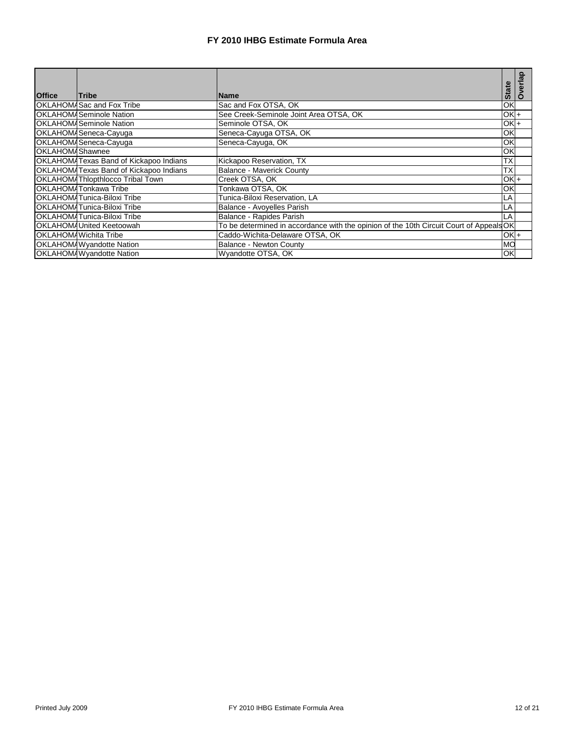|                 |                                               |                                                                                        |              | rlap           |
|-----------------|-----------------------------------------------|----------------------------------------------------------------------------------------|--------------|----------------|
| <b>Office</b>   | <b>Tribe</b>                                  | <b>Name</b>                                                                            | <b>State</b> | $\overline{5}$ |
|                 | <b>OKLAHOMASac and Fox Tribe</b>              | Sac and Fox OTSA, OK                                                                   | ОK           |                |
|                 | <b>OKLAHOMA</b> Seminole Nation               | See Creek-Seminole Joint Area OTSA, OK                                                 | OK +         |                |
|                 | <b>OKLAHOMASeminole Nation</b>                | Seminole OTSA, OK                                                                      | OK +         |                |
|                 | OKLAHOMASeneca-Cayuga                         | Seneca-Cayuga OTSA, OK                                                                 | ОK           |                |
|                 | OKLAHOMASeneca-Cayuga                         | Seneca-Cayuga, OK                                                                      | ОK           |                |
| OKLAHOMAShawnee |                                               |                                                                                        | ОK           |                |
|                 | <b>OKLAHOMATexas Band of Kickapoo Indians</b> | Kickapoo Reservation, TX                                                               | ТX           |                |
|                 | OKLAHOMATexas Band of Kickapoo Indians        | <b>Balance - Maverick County</b>                                                       | ТX           |                |
|                 | <b>OKLAHOM4Thlopthlocco Tribal Town</b>       | Creek OTSA, OK                                                                         | OKI+         |                |
|                 | OKLAHOMATonkawa Tribe                         | Tonkawa OTSA. OK                                                                       | ОК           |                |
|                 | OKLAHOMATunica-Biloxi Tribe                   | Tunica-Biloxi Reservation, LA                                                          | LA           |                |
|                 | OKLAHOMATunica-Biloxi Tribe                   | Balance - Avoyelles Parish                                                             | LA           |                |
|                 | OKLAHOMATunica-Biloxi Tribe                   | Balance - Rapides Parish                                                               | LA           |                |
|                 | OKLAHOMAUnited Keetoowah                      | To be determined in accordance with the opinion of the 10th Circuit Court of AppealsOK |              |                |
|                 | OKLAHOMAWichita Tribe                         | Caddo-Wichita-Delaware OTSA, OK                                                        | OK +         |                |
|                 | <b>OKLAHOMAWyandotte Nation</b>               | <b>Balance - Newton County</b>                                                         | MO           |                |
|                 | <b>OKLAHOMAWyandotte Nation</b>               | Wyandotte OTSA, OK                                                                     | OK           |                |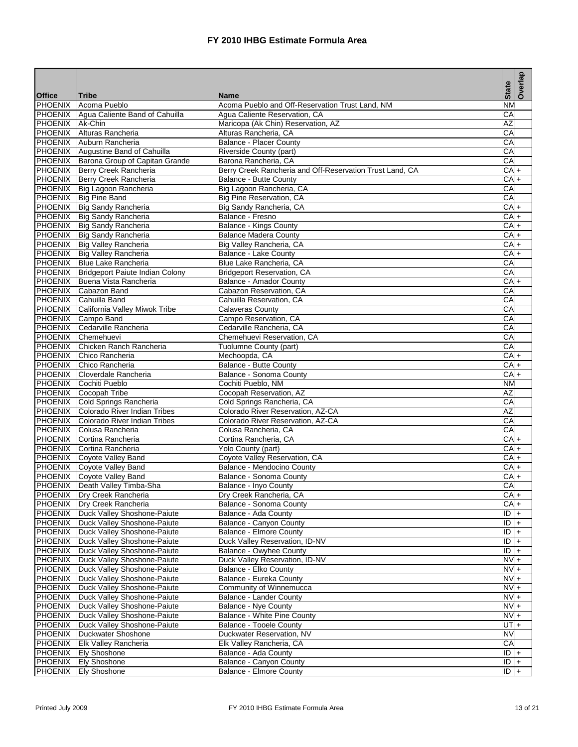|                           |                                                                      |                                                                     | <b>State</b>                              | Overlap         |
|---------------------------|----------------------------------------------------------------------|---------------------------------------------------------------------|-------------------------------------------|-----------------|
| <b>Office</b>             | Tribe                                                                | <b>Name</b>                                                         |                                           |                 |
| <b>PHOENIX</b>            | Acoma Pueblo<br>PHOENIX Agua Caliente Band of Cahuilla               | Acoma Pueblo and Off-Reservation Trust Land, NM                     | $\overline{\text{NM}}$<br>$\overline{CA}$ |                 |
| PHOENIX Ak-Chin           |                                                                      | Agua Caliente Reservation, CA<br>Maricopa (Ak Chin) Reservation, AZ | AZ                                        |                 |
|                           | PHOENIX Alturas Rancheria                                            | Alturas Rancheria, CA                                               | СA                                        |                 |
| PHOENIX                   | Auburn Rancheria                                                     | <b>Balance - Placer County</b>                                      | CA                                        |                 |
|                           | PHOENIX Augustine Band of Cahuilla                                   | Riverside County (part)                                             | CA                                        |                 |
|                           | PHOENIX Barona Group of Capitan Grande                               | Barona Rancheria, CA                                                | $\overline{CA}$                           |                 |
|                           | PHOENIX Berry Creek Rancheria                                        | Berry Creek Rancheria and Off-Reservation Trust Land, CA            | $CA +$                                    |                 |
|                           | PHOENIX Berry Creek Rancheria                                        | <b>Balance - Butte County</b>                                       | CA+                                       |                 |
|                           | PHOENIX Big Lagoon Rancheria                                         | Big Lagoon Rancheria, CA                                            | СA                                        |                 |
|                           | PHOENIX   Big Pine Band                                              | Big Pine Reservation, CA                                            | CA                                        |                 |
|                           | PHOENIX   Big Sandy Rancheria                                        | Big Sandy Rancheria, CA                                             | CA +                                      |                 |
|                           | PHOENIX Big Sandy Rancheria                                          | Balance - Fresno                                                    |                                           | CA +            |
|                           | PHOENIX   Big Sandy Rancheria                                        | Balance - Kings County                                              | $CA +$                                    |                 |
|                           | PHOENIX   Big Sandy Rancheria                                        | <b>Balance Madera County</b>                                        | CA +                                      |                 |
|                           | PHOENIX Big Valley Rancheria                                         | Big Valley Rancheria, CA                                            |                                           | CA <sup>+</sup> |
|                           | PHOENIX Big Valley Rancheria                                         | Balance - Lake County                                               | $CA +$                                    |                 |
|                           | PHOENIX Blue Lake Rancheria                                          | Blue Lake Rancheria, CA                                             | $\overline{CA}$                           |                 |
| PHOENIX                   | Bridgeport Paiute Indian Colony                                      | <b>Bridgeport Reservation, CA</b>                                   | CA                                        |                 |
|                           | PHOENIX Buena Vista Rancheria                                        | Balance - Amador County                                             |                                           | CA +            |
|                           | PHOENIX Cabazon Band                                                 | Cabazon Reservation, CA                                             | CA                                        |                 |
|                           | PHOENIX Cahuilla Band                                                | Cahuilla Reservation, CA                                            | CA                                        |                 |
| PHOENIX                   | California Valley Miwok Tribe                                        | <b>Calaveras County</b>                                             | CA                                        |                 |
|                           | PHOENIX Campo Band                                                   | Campo Reservation, CA                                               | CА                                        |                 |
|                           | PHOENIX Cedarville Rancheria                                         | Cedarville Rancheria, CA                                            | CA                                        |                 |
|                           | PHOENIX Chemehuevi                                                   | Chemehuevi Reservation, CA                                          | CA                                        |                 |
| <b>PHOENIX</b>            | Chicken Ranch Rancheria                                              | Tuolumne County (part)                                              | CA                                        |                 |
|                           | PHOENIX Chico Rancheria                                              | Mechoopda, CA                                                       | $CA +$                                    |                 |
| <b>PHOENIX</b>            | <b>IChico Rancheria</b>                                              | Balance - Butte County                                              | CAI                                       | $+$             |
| <b>PHOENIX</b>            | Cloverdale Rancheria                                                 | Balance - Sonoma County                                             | CA+                                       |                 |
|                           | PHOENIX Cochiti Pueblo                                               | Cochiti Pueblo, NM                                                  | <b>NM</b>                                 |                 |
|                           | PHOENIX Cocopah Tribe                                                | Cocopah Reservation, AZ                                             | $\overline{AZ}$                           |                 |
| PHOENIX                   | Cold Springs Rancheria                                               | Cold Springs Rancheria, CA                                          | CA                                        |                 |
| PHOENIX                   | Colorado River Indian Tribes                                         | Colorado River Reservation, AZ-CA                                   | AZ                                        |                 |
| <b>PHOENIX</b>            | Colorado River Indian Tribes                                         | Colorado River Reservation, AZ-CA                                   | СA                                        |                 |
|                           | PHOENIX Colusa Rancheria                                             | Colusa Rancheria, CA                                                | CA                                        |                 |
|                           | PHOENIX Cortina Rancheria                                            | Cortina Rancheria, CA                                               | CA +                                      |                 |
|                           | PHOENIX Cortina Rancheria                                            | Yolo County (part)                                                  |                                           | CA +            |
|                           | PHOENIX Coyote Valley Band                                           | Coyote Valley Reservation, CA                                       | $CA +$                                    |                 |
|                           | PHOENIX Coyote Valley Band                                           | Balance - Mendocino County                                          | CA +                                      |                 |
|                           | PHOENIX Coyote Valley Band                                           | Balance - Sonoma County                                             | CA <sub>+</sub>                           |                 |
|                           | PHOENIX Death Valley Timba-Sha                                       | Balance - Inyo County                                               | CA                                        |                 |
|                           | <b>PHOENIX Dry Creek Rancheria</b>                                   | Dry Creek Rancheria, CA                                             | $CA +$                                    |                 |
| PHOENIX                   | Dry Creek Rancheria                                                  | Balance - Sonoma County                                             |                                           | $CA +$          |
|                           | PHOENIX   Duck Valley Shoshone-Paiute                                | Balance - Ada County                                                |                                           | $ D $ +         |
|                           | PHOENIX   Duck Valley Shoshone-Paiute                                | Balance - Canyon County                                             | ID                                        | $\vert +$       |
|                           | PHOENIX   Duck Valley Shoshone-Paiute                                | Balance - Elmore County                                             | ID                                        | $+$             |
| <b>PHOENIX</b>            | Duck Valley Shoshone-Paiute                                          | Duck Valley Reservation, ID-NV                                      | $\overline{1D}$ +<br>$\frac{1}{2}$        |                 |
| PHOENIX                   | PHOENIX   Duck Valley Shoshone-Paiute                                | Balance - Owyhee County<br>Duck Valley Reservation, ID-NV           | $NVI +$                                   |                 |
|                           | Duck Valley Shoshone-Paiute                                          | Balance - Elko County                                               |                                           |                 |
| <b>PHOENIX</b>            | PHOENIX   Duck Valley Shoshone-Paiute<br>Duck Valley Shoshone-Paiute | Balance - Eureka County                                             | $NV +$<br>$NV +$                          |                 |
|                           |                                                                      |                                                                     | $NVI +$                                   |                 |
| <b>PHOENIX</b><br>PHOENIX | Duck Valley Shoshone-Paiute<br>Duck Valley Shoshone-Paiute           | Community of Winnemucca<br>Balance - Lander County                  | $NVI +$                                   |                 |
| PHOENIX                   | Duck Valley Shoshone-Paiute                                          | <b>Balance - Nye County</b>                                         | $NVI +$                                   |                 |
| PHOENIX                   | Duck Valley Shoshone-Paiute                                          | Balance - White Pine County                                         | $NV +$                                    |                 |
|                           | <b>PHOENIX</b> Duck Valley Shoshone-Paiute                           | <b>Balance - Tooele County</b>                                      | $U$ T $+$                                 |                 |
|                           | PHOENIX   Duckwater Shoshone                                         | Duckwater Reservation, NV                                           | <b>NV</b>                                 |                 |
| PHOENIX                   | <b>Elk Valley Rancheria</b>                                          | Elk Valley Rancheria, CA                                            | CA                                        |                 |
| <b>PHOENIX</b>            | <b>Ely Shoshone</b>                                                  | Balance - Ada County                                                | $\overline{ID}$ +                         |                 |
|                           | PHOENIX Ely Shoshone                                                 | Balance - Canyon County                                             | $ D $ +                                   |                 |
| PHOENIX                   | <b>Ely Shoshone</b>                                                  | <b>Balance - Elmore County</b>                                      | $\overline{ID}$ +                         |                 |
|                           |                                                                      |                                                                     |                                           |                 |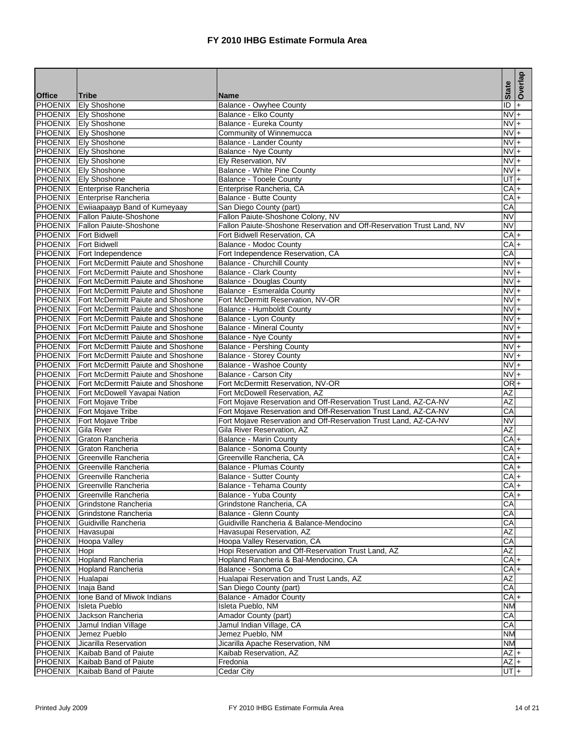|                    |                                                     |                                                                       | <b>State</b>           | Overlap   |
|--------------------|-----------------------------------------------------|-----------------------------------------------------------------------|------------------------|-----------|
| <b>Office</b>      | Tribe                                               | <b>Name</b>                                                           |                        |           |
| PHOENIX            | <b>Ely Shoshone</b>                                 | Balance - Owyhee County                                               | ĪD                     | $\ddot{}$ |
|                    | <b>PHOENIX</b> Ely Shoshone                         | Balance - Elko County                                                 | Ñ                      | $+$       |
|                    | <b>PHOENIX</b> Ely Shoshone                         | Balance - Eureka County                                               | $NVI +$                |           |
|                    | PHOENIX Ely Shoshone                                | Community of Winnemucca                                               | $NV +$                 |           |
|                    | <b>PHOENIX</b> Ely Shoshone                         | <b>Balance - Lander County</b>                                        | NV +                   |           |
|                    | PHOENIX Ely Shoshone<br><b>PHOENIX Ely Shoshone</b> | Balance - Nye County<br>Ely Reservation, NV                           | $NVI +$<br>$NVI +$     |           |
|                    | PHOENIX Ely Shoshone                                | Balance - White Pine County                                           | $NVI +$                |           |
|                    | PHOENIX Ely Shoshone                                | Balance - Tooele County                                               | UT I+                  |           |
|                    | PHOENIX Enterprise Rancheria                        | Enterprise Rancheria, CA                                              | CA +                   |           |
|                    | PHOENIX Enterprise Rancheria                        | <b>Balance - Butte County</b>                                         | CA+                    |           |
|                    | PHOENIX Ewiiaapaayp Band of Kumeyaay                | San Diego County (part)                                               | CA                     |           |
|                    | PHOENIX Fallon Paiute-Shoshone                      | Fallon Paiute-Shoshone Colony, NV                                     | $\overline{\text{NV}}$ |           |
|                    | PHOENIX Fallon Paiute-Shoshone                      | Fallon Paiute-Shoshone Reservation and Off-Reservation Trust Land, NV | <b>NV</b>              |           |
|                    | PHOENIX   Fort Bidwell                              | Fort Bidwell Reservation, CA                                          | $CA +$                 |           |
|                    | PHOENIX Fort Bidwell                                | Balance - Modoc County                                                | CAI+                   |           |
|                    | PHOENIX Fort Independence                           | Fort Independence Reservation, CA                                     | CA                     |           |
|                    | <b>PHOENIX</b> Fort McDermitt Paiute and Shoshone   | <b>Balance - Churchill County</b>                                     | $NVI +$                |           |
| PHOENIX            | Fort McDermitt Paiute and Shoshone                  | Balance - Clark County                                                | $NV +$                 |           |
|                    | <b>PHOENIX</b> Fort McDermitt Paiute and Shoshone   | <b>Balance - Douglas County</b>                                       | $NVI +$                |           |
|                    | <b>PHOENIX</b> Fort McDermitt Paiute and Shoshone   | Balance - Esmeralda County                                            | $NVI +$                |           |
|                    | <b>PHOENIX</b> Fort McDermitt Paiute and Shoshone   | Fort McDermitt Reservation, NV-OR                                     | $NVI +$                |           |
| <b>PHOENIX</b>     | Fort McDermitt Paiute and Shoshone                  | Balance - Humboldt County                                             | $NV +$                 |           |
|                    | <b>PHOENIX</b> Fort McDermitt Paiute and Shoshone   | Balance - Lyon County                                                 | NV +                   |           |
|                    | PHOENIX Fort McDermitt Paiute and Shoshone          | <b>Balance - Mineral County</b>                                       | $NVI +$                |           |
| <b>PHOENIX</b>     | Fort McDermitt Paiute and Shoshone                  | Balance - Nye County                                                  | $NV +$                 |           |
|                    | <b>PHOENIX</b> Fort McDermitt Paiute and Shoshone   | <b>Balance - Pershing County</b>                                      | NV +                   |           |
|                    | PHOENIX Fort McDermitt Paiute and Shoshone          | <b>Balance - Storey County</b>                                        | $NVI +$                |           |
|                    | <b>PHOENIX</b> Fort McDermitt Paiute and Shoshone   | Balance - Washoe County                                               | $NV +$                 |           |
|                    | <b>PHOENIX</b> Fort McDermitt Paiute and Shoshone   | Balance - Carson City                                                 | $NV +$                 |           |
|                    | PHOENIX Fort McDermitt Paiute and Shoshone          | Fort McDermitt Reservation, NV-OR                                     | OR <sup>+</sup>        |           |
|                    | PHOENIX Fort McDowell Yavapai Nation                | Fort McDowell Reservation, AZ                                         | AZ                     |           |
| PHOENIX            | Fort Mojave Tribe                                   | Fort Mojave Reservation and Off-Reservation Trust Land, AZ-CA-NV      | AZ                     |           |
| PHOENIX            | Fort Mojave Tribe                                   | Fort Mojave Reservation and Off-Reservation Trust Land, AZ-CA-NV      | СA                     |           |
| PHOENIX            | <b>Fort Mojave Tribe</b>                            | Fort Mojave Reservation and Off-Reservation Trust Land, AZ-CA-NV      | NV                     |           |
| PHOENIX            | Gila River                                          | Gila River Reservation, AZ                                            | AZ                     |           |
| PHOENIX            | Graton Rancheria<br>PHOENIX Graton Rancheria        | <b>Balance - Marin County</b><br>Balance - Sonoma County              | CA +<br>CA +           |           |
|                    | PHOENIX Greenville Rancheria                        | Greenville Rancheria, CA                                              | $CA +$                 |           |
|                    | PHOENIX Greenville Rancheria                        | Balance - Plumas County                                               | CA <sup>+</sup>        |           |
| <b>PHOENIX</b>     | Greenville Rancheria                                | <b>Balance - Sutter County</b>                                        | $CA +$                 |           |
|                    | PHOENIX Greenville Rancheria                        | Balance - Tehama County                                               | $CA +$                 |           |
|                    | PHOENIX Greenville Rancheria                        | Balance - Yuba County                                                 | CA +                   |           |
| PHOENIX            | Grindstone Rancheria                                | Grindstone Rancheria, CA                                              | CA                     |           |
|                    | PHOENIX Grindstone Rancheria                        | Balance - Glenn County                                                | CA                     |           |
|                    | PHOENIX Guidiville Rancheria                        | Guidiville Rancheria & Balance-Mendocino                              | CA                     |           |
| PHOENIX Havasupai  |                                                     | Havasupai Reservation, AZ                                             | AZ                     |           |
| <b>PHOENIX</b>     | Hoopa Valley                                        | Hoopa Valley Reservation, CA                                          | CA                     |           |
| <b>PHOENIX</b>     | Hopi                                                | Hopi Reservation and Off-Reservation Trust Land, AZ                   | AΖ                     |           |
|                    | PHOENIX Hopland Rancheria                           | Hopland Rancheria & Bal-Mendocino, CA                                 | $CA +$                 |           |
| PHOENIX            | Hopland Rancheria                                   | Balance - Sonoma Co                                                   | CA+                    |           |
| PHOENIX Hualapai   |                                                     | Hualapai Reservation and Trust Lands, AZ                              | AZ                     |           |
| PHOENIX Inaja Band |                                                     | San Diego County (part)                                               | CA                     |           |
| PHOENIX            | Ione Band of Miwok Indians                          | Balance - Amador County                                               | CA +                   |           |
| <b>PHOENIX</b>     | <b>Isleta Pueblo</b>                                | Isleta Pueblo, NM                                                     | NΜ                     |           |
|                    | PHOENIX Jackson Rancheria                           | Amador County (part)                                                  | CA                     |           |
|                    | PHOENIX Jamul Indian Village                        | Jamul Indian Village, CA                                              | CA                     |           |
| PHOENIX            | Jemez Pueblo                                        | Jemez Pueblo, NM                                                      | <b>NM</b>              |           |
| PHOENIX            | Jicarilla Reservation                               | Jicarilla Apache Reservation, NM                                      | NM                     |           |
|                    | PHOENIX Kaibab Band of Paiute                       | Kaibab Reservation, AZ                                                | $AZ +$                 |           |
|                    | PHOENIX Kaibab Band of Paiute                       | Fredonia                                                              | $AZ +$                 |           |
| PHOENIX            | Kaibab Band of Paiute                               | Cedar City                                                            | $UT +$                 |           |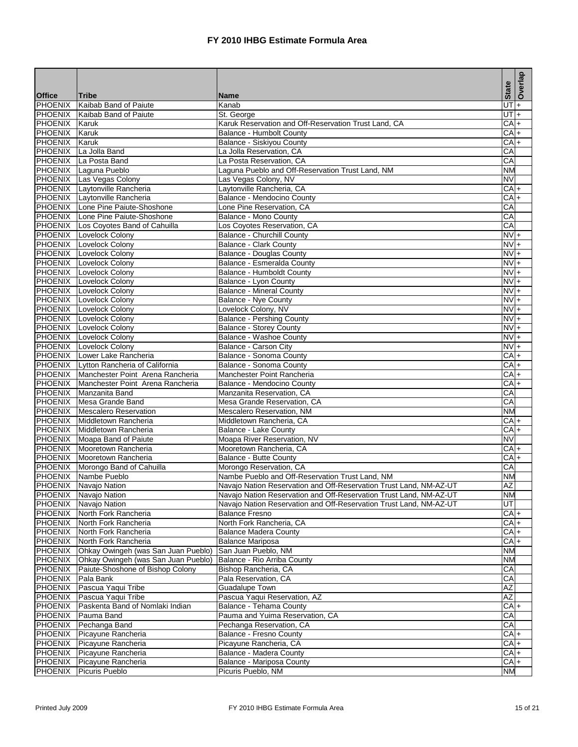|                           |                                                                        |                                                                    | <b>State</b>           | Overlap   |
|---------------------------|------------------------------------------------------------------------|--------------------------------------------------------------------|------------------------|-----------|
| <b>Office</b>             | <b>Tribe</b>                                                           | <b>Name</b>                                                        |                        |           |
| PHOENIX<br><b>PHOENIX</b> | Kaibab Band of Paiute<br>Kaibab Band of Paiute                         | Kanab<br>St. George                                                | $UT +$<br>UT           | $+$       |
| PHOENIX                   | Karuk                                                                  | Karuk Reservation and Off-Reservation Trust Land, CA               | $CA +$                 |           |
| <b>PHOENIX</b>            | Karuk                                                                  | <b>Balance - Humbolt County</b>                                    | $\overline{\text{CA}}$ | $+$       |
| <b>PHOENIX</b>            | Karuk                                                                  | Balance - Siskiyou County                                          | CA <sub>+</sub>        |           |
| <b>PHOENIX</b>            | La Jolla Band                                                          | La Jolla Reservation, CA                                           | CА                     |           |
|                           | PHOENIX La Posta Band                                                  | La Posta Reservation, CA                                           | $\overline{\text{CA}}$ |           |
|                           | PHOENIX Laguna Pueblo                                                  | Laguna Pueblo and Off-Reservation Trust Land, NM                   | NM                     |           |
|                           | PHOENIX Las Vegas Colony                                               | Las Vegas Colony, NV                                               | <b>NV</b>              |           |
|                           | PHOENIX Laytonville Rancheria                                          | Laytonville Rancheria, CA                                          | CAI+                   |           |
|                           | PHOENIX Laytonville Rancheria                                          | Balance - Mendocino County                                         | CA <sub>+</sub>        |           |
|                           | PHOENIX Lone Pine Paiute-Shoshone                                      | Lone Pine Reservation, CA                                          | CA                     |           |
| <b>PHOENIX</b>            | Lone Pine Paiute-Shoshone                                              | Balance - Mono County                                              | CА                     |           |
|                           | PHOENIX Los Coyotes Band of Cahuilla                                   | Los Coyotes Reservation, CA                                        | CA                     |           |
|                           | PHOENIX   Lovelock Colony                                              | <b>Balance - Churchill County</b>                                  | NVl                    | $+$       |
|                           | PHOENIX Lovelock Colony                                                | <b>Balance - Clark County</b>                                      | $NVI +$                |           |
|                           | PHOENIX   Lovelock Colony                                              | <b>Balance - Douglas County</b>                                    | $NV +$                 |           |
|                           | <b>PHOENIX</b> Lovelock Colony                                         | Balance - Esmeralda County                                         | $NVI +$                |           |
|                           | PHOENIX   Lovelock Colony                                              | Balance - Humboldt County                                          | $\overline{NV}$ +      |           |
|                           | PHOENIX   Lovelock Colony                                              | Balance - Lyon County                                              | $NV +$                 |           |
|                           | PHOENIX Lovelock Colony                                                | <b>Balance - Mineral County</b>                                    | $NVI +$                |           |
|                           | <b>PHOENIX</b> Lovelock Colony                                         | <b>Balance - Nve County</b>                                        | $NV +$                 |           |
| PHOENIX                   | Lovelock Colony                                                        | Lovelock Colony, NV                                                | $NV +$                 |           |
|                           | PHOENIX Lovelock Colony                                                | <b>Balance - Pershing County</b>                                   | NV +                   |           |
|                           | PHOENIX Lovelock Colony                                                | <b>Balance - Storey County</b>                                     | $NVI +$                |           |
|                           | PHOENIX   Lovelock Colony                                              | Balance - Washoe County                                            | $NVI +$                |           |
|                           | PHOENIX Lovelock Colony                                                | Balance - Carson City                                              |                        | NV +      |
|                           | PHOENIX Lower Lake Rancheria<br>PHOENIX Lytton Rancheria of California | Balance - Sonoma County                                            | $CA +$                 |           |
| PHOENIX                   | Manchester Point Arena Rancheria                                       | Balance - Sonoma County<br>Manchester Point Rancheria              | CA<br>CA +             | $\ddot{}$ |
|                           | PHOENIX Manchester Point Arena Rancheria                               | Balance - Mendocino County                                         | CA <sub>+</sub>        |           |
|                           | PHOENIX Manzanita Band                                                 | Manzanita Reservation, CA                                          | $\overline{\text{CA}}$ |           |
| <b>PHOENIX</b>            | Mesa Grande Band                                                       | Mesa Grande Reservation, CA                                        | CA                     |           |
| PHOENIX                   | Mescalero Reservation                                                  | Mescalero Reservation, NM                                          | <b>NM</b>              |           |
|                           | PHOENIX Middletown Rancheria                                           | Middletown Rancheria, CA                                           | CAI+                   |           |
|                           | PHOENIX Middletown Rancheria                                           | Balance - Lake County                                              | $CA +$                 |           |
|                           | PHOENIX Moapa Band of Paiute                                           | Moapa River Reservation, NV                                        | <b>NV</b>              |           |
|                           | PHOENIX Mooretown Rancheria                                            | Mooretown Rancheria, CA                                            |                        | CAI+      |
|                           | PHOENIX   Mooretown Rancheria                                          | Balance - Butte County                                             | $CA +$                 |           |
|                           | PHOENIX Morongo Band of Cahuilla                                       | Morongo Reservation, CA                                            | $\overline{CA}$        |           |
|                           | PHOENIX Nambe Pueblo                                                   | Nambe Pueblo and Off-Reservation Trust Land, NM                    | NΜ                     |           |
|                           | PHOENIX Navajo Nation                                                  | Navajo Nation Reservation and Off-Reservation Trust Land, NM-AZ-UT | AZ                     |           |
|                           | PHOENIX Navajo Nation                                                  | Navajo Nation Reservation and Off-Reservation Trust Land, NM-AZ-UT | <b>NM</b>              |           |
| PHOENIX                   | Navajo Nation                                                          | Navajo Nation Reservation and Off-Reservation Trust Land, NM-AZ-UT | UT                     |           |
| PHOENIX                   | North Fork Rancheria                                                   | <b>Balance Fresno</b>                                              | CA +                   |           |
|                           | PHOENIX North Fork Rancheria                                           | North Fork Rancheria, CA                                           | $CA +$                 |           |
| PHOENIX                   | North Fork Rancheria                                                   | <b>Balance Madera County</b>                                       | CA +                   |           |
| <b>PHOENIX</b>            | North Fork Rancheria                                                   | <b>Balance Mariposa</b>                                            | CA <sub>+</sub>        |           |
| PHOENIX                   | Ohkay Owingeh (was San Juan Pueblo)                                    | San Juan Pueblo, NM                                                | NΜ                     |           |
| PHOENIX                   | Ohkay Owingeh (was San Juan Pueblo)                                    | Balance - Rio Arriba County                                        | NM                     |           |
|                           | PHOENIX Paiute-Shoshone of Bishop Colony                               | Bishop Rancheria, CA                                               | CA                     |           |
| PHOENIX                   | Pala Bank                                                              | Pala Reservation, CA                                               | СA                     |           |
| PHOENIX                   | Pascua Yaqui Tribe                                                     | Guadalupe Town                                                     | AZ                     |           |
| PHOENIX                   | Pascua Yaqui Tribe                                                     | Pascua Yaqui Reservation, AZ                                       | AZ                     |           |
| PHOENIX                   | Paskenta Band of Nomlaki Indian                                        | Balance - Tehama County                                            |                        | CAI+      |
|                           | PHOENIX Pauma Band                                                     | Pauma and Yuima Reservation, CA                                    | СA                     |           |
|                           | PHOENIX Pechanga Band                                                  | Pechanga Reservation, CA                                           | $\overline{CA}$        |           |
|                           | PHOENIX Picayune Rancheria                                             | Balance - Fresno County                                            | CA <sub>+</sub>        |           |
| PHOENIX                   | Picayune Rancheria                                                     | Picayune Rancheria, CA                                             | CA +                   |           |
| PHOENIX                   | Picayune Rancheria                                                     | Balance - Madera County                                            | $CA +$                 |           |
|                           | PHOENIX Picayune Rancheria                                             | Balance - Mariposa County                                          | $CA +$<br><b>NM</b>    |           |
| PHOENIX                   | Picuris Pueblo                                                         | Picuris Pueblo, NM                                                 |                        |           |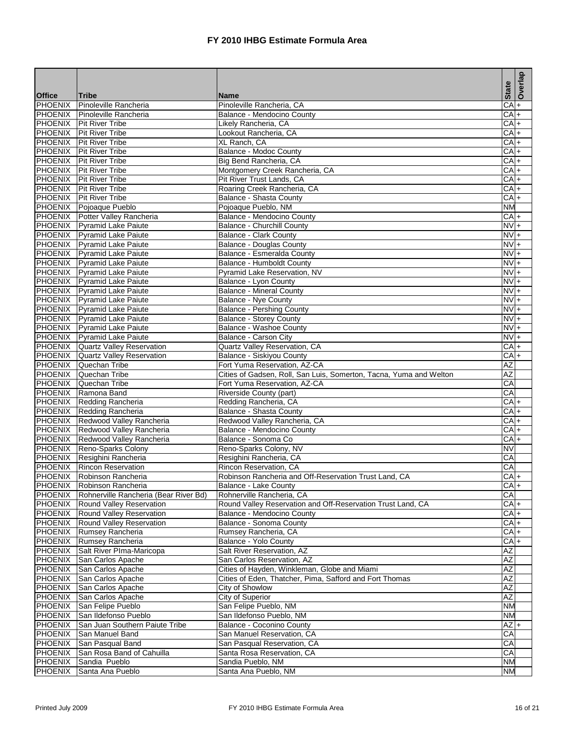|                                  |                                                            |                                                                    | <b>State</b>       | Overlap   |
|----------------------------------|------------------------------------------------------------|--------------------------------------------------------------------|--------------------|-----------|
| <b>Office</b>                    | <b>Tribe</b>                                               | <b>Name</b>                                                        |                    |           |
| <b>PHOENIX</b><br><b>PHOENIX</b> | Pinoleville Rancheria<br>Pinoleville Rancheria             | Pinoleville Rancheria, CA<br>Balance - Mendocino County            | $CA +$<br>$CA +$   |           |
|                                  | PHOENIX   Pit River Tribe                                  | Likely Rancheria, CA                                               | $CA +$             |           |
|                                  | <b>PHOENIX</b> Pit River Tribe                             | Lookout Rancheria, CA                                              | CA                 | $\ddot{}$ |
|                                  | <b>PHOENIX</b> Pit River Tribe                             | XL Ranch, CA                                                       | CA+                |           |
|                                  | PHOENIX Pit River Tribe                                    | <b>Balance - Modoc County</b>                                      | CA +               |           |
|                                  | <b>PHOENIX</b> Pit River Tribe                             | Big Bend Rancheria, CA                                             | $CA +$             |           |
|                                  | PHOENIX   Pit River Tribe                                  | Montgomery Creek Rancheria, CA                                     | $CA +$             |           |
|                                  | PHOENIX   Pit River Tribe                                  | Pit River Trust Lands, CA                                          | $CA +$             |           |
|                                  | <b>PHOENIX</b> Pit River Tribe                             | Roaring Creek Rancheria, CA                                        | CA +               |           |
|                                  | PHOENIX   Pit River Tribe                                  | Balance - Shasta County                                            | $CA +$             |           |
|                                  | PHOENIX Pojoaque Pueblo                                    | Pojoaque Pueblo, NM                                                | <b>NM</b>          |           |
|                                  | PHOENIX Potter Valley Rancheria                            | Balance - Mendocino County                                         | $CA +$             |           |
|                                  | PHOENIX Pyramid Lake Paiute<br>PHOENIX Pyramid Lake Paiute | <b>Balance - Churchill County</b>                                  | $NVI +$<br>$NVI +$ |           |
|                                  | PHOENIX Pyramid Lake Paiute                                | <b>Balance - Clark County</b><br><b>Balance - Douglas County</b>   | $NVI +$            |           |
|                                  | PHOENIX Pyramid Lake Paiute                                | Balance - Esmeralda County                                         | $NVI +$            |           |
|                                  | PHOENIX Pyramid Lake Paiute                                | Balance - Humboldt County                                          | $NVI +$            |           |
|                                  | PHOENIX Pyramid Lake Paiute                                | Pyramid Lake Reservation, NV                                       | $NVI +$            |           |
|                                  | PHOENIX Pyramid Lake Paiute                                | Balance - Lyon County                                              | $NV +$             |           |
|                                  | PHOENIX Pyramid Lake Paiute                                | <b>Balance - Mineral County</b>                                    | $NVI +$            |           |
|                                  | PHOENIX Pyramid Lake Paiute                                | <b>Balance - Nve County</b>                                        | $NVI +$            |           |
|                                  | PHOENIX Pyramid Lake Paiute                                | <b>Balance - Pershing County</b>                                   | $NV +$             |           |
|                                  | PHOENIX Pyramid Lake Paiute                                | <b>Balance - Storey County</b>                                     | $NVI +$            |           |
|                                  | PHOENIX Pyramid Lake Paiute                                | Balance - Washoe County                                            | $NVI +$            |           |
|                                  | PHOENIX Pyramid Lake Paiute                                | Balance - Carson City                                              | $\frac{1}{2}$      |           |
|                                  | <b>PHOENIX</b> Quartz Valley Reservation                   | Quartz Valley Reservation, CA                                      | $CA +$             |           |
|                                  | PHOENIX Quartz Valley Reservation                          | Balance - Siskiyou County                                          | $CA +$             |           |
|                                  | PHOENIX Quechan Tribe                                      | Fort Yuma Reservation, AZ-CA                                       | AZ                 |           |
| <b>PHOENIX</b>                   | Quechan Tribe                                              | Cities of Gadsen, Roll, San Luis, Somerton, Tacna, Yuma and Welton | $\overline{AZ}$    |           |
|                                  | PHOENIX Quechan Tribe                                      | Fort Yuma Reservation, AZ-CA                                       | CA                 |           |
|                                  | PHOENIX Ramona Band                                        | Riverside County (part)                                            | $\overline{CA}$    |           |
|                                  | PHOENIX Redding Rancheria                                  | Redding Rancheria, CA                                              | $CA +$             |           |
| PHOENIX                          | Redding Rancheria<br>PHOENIX Redwood Valley Rancheria      | Balance - Shasta County                                            | CA+<br>CAF         |           |
|                                  | PHOENIX Redwood Valley Rancheria                           | Redwood Valley Rancheria, CA<br>Balance - Mendocino County         | $CA +$             |           |
|                                  | PHOENIX Redwood Valley Rancheria                           | Balance - Sonoma Co                                                | $CA +$             |           |
|                                  | PHOENIX Reno-Sparks Colony                                 | Reno-Sparks Colony, NV                                             | NV                 |           |
|                                  | PHOENIX Resighini Rancheria                                | Resighini Rancheria, CA                                            | CA                 |           |
|                                  | <b>PHOENIX</b> Rincon Reservation                          | Rincon Reservation, CA                                             | $\overline{CA}$    |           |
|                                  | PHOENIX Robinson Rancheria                                 | Robinson Rancheria and Off-Reservation Trust Land, CA              | CA <sub>+</sub>    |           |
|                                  | PHOENIX Robinson Rancheria                                 | Balance - Lake County                                              | $CA +$             |           |
|                                  | PHOENIX Rohnerville Rancheria (Bear River Bd)              | Rohnerville Rancheria, CA                                          | CA                 |           |
| PHOENIX                          | Round Valley Reservation                                   | Round Valley Reservation and Off-Reservation Trust Land, CA        | CA+                |           |
|                                  | PHOENIX Round Valley Reservation                           | Balance - Mendocino County                                         | CAI+               |           |
|                                  | PHOENIX Round Valley Reservation                           | Balance - Sonoma County                                            | $CA +$             |           |
|                                  | PHOENIX Rumsey Rancheria                                   | Rumsey Rancheria, CA                                               | CA+                |           |
| <b>PHOENIX</b>                   | Rumsey Rancheria                                           | Balance - Yolo County                                              | CA +               |           |
|                                  | PHOENIX Salt River PIma-Maricopa                           | Salt River Reservation, AZ                                         | AZ                 |           |
|                                  | PHOENIX San Carlos Apache                                  | San Carlos Reservation, AZ                                         | AZ                 |           |
| <b>PHOENIX</b>                   | San Carlos Apache                                          | Cities of Hayden, Winkleman, Globe and Miami                       | AZ                 |           |
| <b>PHOENIX</b><br>PHOENIX        | San Carlos Apache                                          | Cities of Eden, Thatcher, Pima, Safford and Fort Thomas            | AZ<br>AZ           |           |
| <b>PHOENIX</b>                   | San Carlos Apache<br>San Carlos Apache                     | City of Showlow<br>City of Superior                                | AZ                 |           |
| <b>PHOENIX</b>                   | San Felipe Pueblo                                          | San Felipe Pueblo, NM                                              | NM                 |           |
| PHOENIX                          | San Ildefonso Pueblo                                       | San Ildefonso Pueblo, NM                                           | ΝM                 |           |
| PHOENIX                          | San Juan Southern Paiute Tribe                             | Balance - Coconino County                                          | $AZ +$             |           |
| PHOENIX                          | San Manuel Band                                            | San Manuel Reservation, CA                                         | CA                 |           |
| <b>PHOENIX</b>                   | San Pasqual Band                                           | San Pasqual Reservation, CA                                        | CA                 |           |
| PHOENIX                          | San Rosa Band of Cahuilla                                  | Santa Rosa Reservation, CA                                         | CA                 |           |
| PHOENIX                          | Sandia Pueblo                                              | Sandia Pueblo, NM                                                  | NΜ                 |           |
| <b>PHOENIX</b>                   | Santa Ana Pueblo                                           | Santa Ana Pueblo, NM                                               | <b>NM</b>          |           |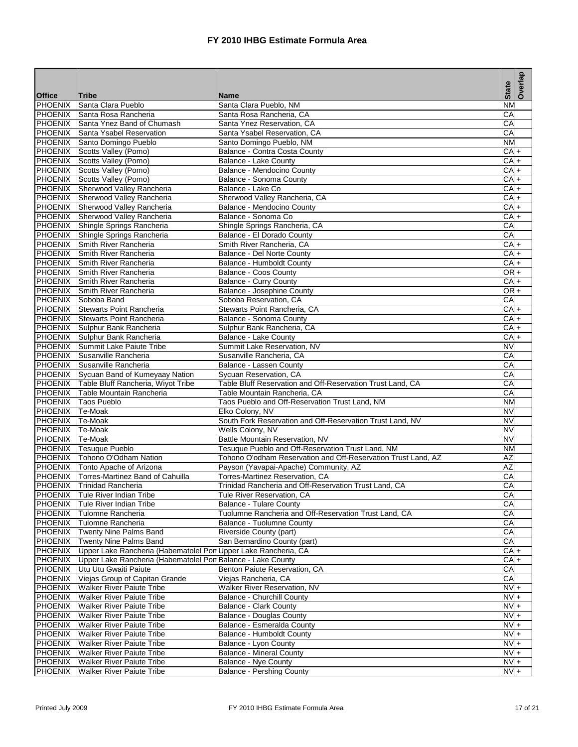|                           |                                                                              |                                                                  | <b>State</b>           | Overlap |
|---------------------------|------------------------------------------------------------------------------|------------------------------------------------------------------|------------------------|---------|
| <b>Office</b>             | <b>Tribe</b>                                                                 | <b>Name</b>                                                      |                        |         |
| PHOENIX<br><b>PHOENIX</b> | Santa Clara Pueblo<br>Santa Rosa Rancheria                                   | Santa Clara Pueblo, NM                                           | Ν<br>CA                |         |
|                           | PHOENIX Santa Ynez Band of Chumash                                           | Santa Rosa Rancheria, CA<br>Santa Ynez Reservation, CA           | CA                     |         |
|                           | PHOENIX Santa Ysabel Reservation                                             | Santa Ysabel Reservation, CA                                     | $\overline{CA}$        |         |
| PHOENIX                   | Santo Domingo Pueblo                                                         | Santo Domingo Pueblo, NM                                         | <b>NM</b>              |         |
|                           | PHOENIX Scotts Valley (Pomo)                                                 | Balance - Contra Costa County                                    | $CA +$                 |         |
|                           | PHOENIX Scotts Valley (Pomo)                                                 | Balance - Lake County                                            | $CA +$                 |         |
|                           | PHOENIX Scotts Valley (Pomo)                                                 | Balance - Mendocino County                                       | $CA +$                 |         |
| <b>PHOENIX</b>            | Scotts Valley (Pomo)                                                         | Balance - Sonoma County                                          | $CA +$                 |         |
|                           | PHOENIX Sherwood Valley Rancheria                                            | Balance - Lake Co                                                | $CA +$                 |         |
| PHOENIX                   | Sherwood Valley Rancheria                                                    | Sherwood Valley Rancheria, CA                                    | $CA +$                 |         |
|                           | PHOENIX Sherwood Valley Rancheria                                            | Balance - Mendocino County                                       | $CA +$                 |         |
| <b>PHOENIX</b>            | Sherwood Valley Rancheria                                                    | Balance - Sonoma Co                                              | $CA +$                 |         |
|                           | PHOENIX Shingle Springs Rancheria                                            | Shingle Springs Rancheria, CA                                    | CA                     |         |
|                           | PHOENIX Shingle Springs Rancheria                                            | Balance - El Dorado County                                       | $\overline{CA}$        |         |
| PHOENIX                   | Smith River Rancheria                                                        | Smith River Rancheria, CA                                        | $CA +$                 |         |
| PHOENIX                   | Smith River Rancheria                                                        | Balance - Del Norte County                                       | $CA +$                 |         |
| PHOENIX                   | Smith River Rancheria                                                        | <b>Balance - Humboldt County</b>                                 | $CA +$                 |         |
|                           | PHOENIX Smith River Rancheria                                                | Balance - Coos County                                            | $OR +$                 |         |
| <b>PHOENIX</b>            | Smith River Rancheria                                                        | <b>Balance - Curry County</b>                                    | $CA +$                 |         |
|                           | <b>PHOENIX</b> Smith River Rancheria                                         | Balance - Josephine County                                       | $OR +$                 |         |
|                           | PHOENIX Soboba Band                                                          | Soboba Reservation, CA                                           | CA                     |         |
| PHOENIX                   | Stewarts Point Rancheria                                                     | Stewarts Point Rancheria, CA                                     | $CA +$                 |         |
|                           | <b>PHOENIX</b> Stewarts Point Rancheria                                      | Balance - Sonoma County                                          | $CA +$                 |         |
|                           | PHOENIX Sulphur Bank Rancheria                                               | Sulphur Bank Rancheria, CA                                       | $CA +$                 |         |
|                           | PHOENIX Sulphur Bank Rancheria                                               | Balance - Lake County                                            | $CA +$                 |         |
| <b>PHOENIX</b>            | Summit Lake Paiute Tribe                                                     | Summit Lake Reservation, NV                                      | <b>NV</b>              |         |
|                           | PHOENIX Susanville Rancheria                                                 | Susanville Rancheria, CA                                         | CA                     |         |
|                           | PHOENIX Susanville Rancheria                                                 | Balance - Lassen County                                          | $\overline{CA}$        |         |
| PHOENIX                   | Sycuan Band of Kumeyaay Nation                                               | Sycuan Reservation, CA                                           | CA                     |         |
| PHOENIX                   | Table Bluff Rancheria, Wiyot Tribe                                           | Table Bluff Reservation and Off-Reservation Trust Land, CA       | СA                     |         |
|                           | PHOENIX Table Mountain Rancheria                                             | Table Mountain Rancheria, CA                                     | СA                     |         |
| PHOENIX                   | <b>Taos Pueblo</b>                                                           | Taos Pueblo and Off-Reservation Trust Land, NM                   | <b>NM</b>              |         |
| PHOENIX                   | Te-Moak                                                                      | Elko Colony, NV                                                  | <b>NV</b>              |         |
| <b>PHOENIX</b>            | Te-Moak                                                                      | South Fork Reservation and Off-Reservation Trust Land, NV        | $\overline{\text{NV}}$ |         |
| PHOENIX                   | Te-Moak                                                                      | Wells Colony, NV                                                 | <b>NV</b>              |         |
| PHOENIX Te-Moak           |                                                                              | Battle Mountain Reservation, NV                                  | <b>NV</b>              |         |
|                           | PHOENIX Tesuque Pueblo                                                       | Tesuque Pueblo and Off-Reservation Trust Land, NM                | NΜ                     |         |
|                           | PHOENIX   Tohono O'Odham Nation                                              | Tohono O'odham Reservation and Off-Reservation Trust Land, AZ    | AZ                     |         |
|                           | PHOENIX Tonto Apache of Arizona                                              | Payson (Yavapai-Apache) Community, AZ                            | $\overline{AZ}$        |         |
| <b>PHOENIX</b>            | Torres-Martinez Band of Cahuilla                                             | Torres-Martinez Reservation, CA                                  | CA                     |         |
|                           | PHOENIX Trinidad Rancheria                                                   | Trinidad Rancheria and Off-Reservation Trust Land, CA            | CA                     |         |
| PHOENIX                   | Tule River Indian Tribe                                                      | Tule River Reservation, CA                                       | CA                     |         |
| <b>PHOENIX</b>            | Tule River Indian Tribe                                                      | <b>Balance - Tulare County</b>                                   | CA                     |         |
| PHOENIX                   | Tulomne Rancheria                                                            | Tuolumne Rancheria and Off-Reservation Trust Land, CA            | CA                     |         |
|                           | PHOENIX Tulomne Rancheria                                                    | <b>Balance - Tuolumne County</b>                                 | CA                     |         |
| PHOENIX                   | Twenty Nine Palms Band                                                       | Riverside County (part)                                          | СA                     |         |
| PHOENIX                   | Twenty Nine Palms Band                                                       | San Bernardino County (part)                                     | CA                     |         |
| PHOENIX                   | Upper Lake Rancheria (Habematolel Pon Upper Lake Rancheria, CA               |                                                                  | $CA +$                 |         |
| PHOENIX                   | Upper Lake Rancheria (Habematolel Pon Balance - Lake County                  |                                                                  | $CA +$                 |         |
| PHOENIX                   | Utu Utu Gwaiti Paiute                                                        | Benton Paiute Reservation, CA                                    | CA                     |         |
| PHOENIX                   | Viejas Group of Capitan Grande                                               | Viejas Rancheria, CA                                             | CA                     |         |
| PHOENIX<br><b>PHOENIX</b> | <b>Walker River Paiute Tribe</b><br><b>Walker River Paiute Tribe</b>         | Walker River Reservation, NV                                     | $NVI +$<br>$NVI +$     |         |
|                           | <b>Walker River Paiute Tribe</b>                                             | Balance - Churchill County                                       | $NV +$                 |         |
| <b>PHOENIX</b><br>PHOENIX |                                                                              | <b>Balance - Clark County</b><br><b>Balance - Douglas County</b> | $NV +$                 |         |
|                           | <b>Walker River Paiute Tribe</b><br><b>PHOENIX</b> Walker River Paiute Tribe | Balance - Esmeralda County                                       | $NV +$                 |         |
| PHOENIX                   | <b>Walker River Paiute Tribe</b>                                             | Balance - Humboldt County                                        | $\overline{NV}$ +      |         |
| <b>PHOENIX</b>            | <b>Walker River Paiute Tribe</b>                                             | Balance - Lyon County                                            | $NV +$                 |         |
| PHOENIX                   | <b>Walker River Paiute Tribe</b>                                             | <b>Balance - Mineral County</b>                                  | $NVI +$                |         |
| PHOENIX                   | <b>Walker River Paiute Tribe</b>                                             | <b>Balance - Nye County</b>                                      | $NVI +$                |         |
| PHOENIX                   | <b>Walker River Paiute Tribe</b>                                             | <b>Balance - Pershing County</b>                                 | $NVI +$                |         |
|                           |                                                                              |                                                                  |                        |         |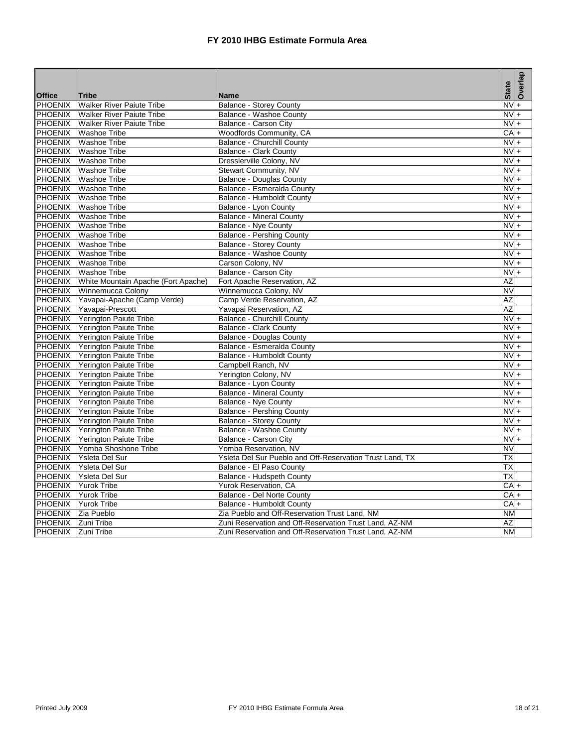|                |                                     |                                                          | <b>State</b>           | Overlap   |
|----------------|-------------------------------------|----------------------------------------------------------|------------------------|-----------|
| <b>Office</b>  | <b>Tribe</b>                        | <b>Name</b>                                              |                        |           |
| <b>PHOENIX</b> | <b>Walker River Paiute Tribe</b>    | <b>Balance - Storey County</b>                           | $\overline{NV}$ +      |           |
| <b>PHOENIX</b> | <b>Walker River Paiute Tribe</b>    | Balance - Washoe County                                  | $\overline{\text{NV}}$ | $\ddot{}$ |
| <b>PHOENIX</b> | <b>Walker River Paiute Tribe</b>    | Balance - Carson City                                    | $NVI +$                |           |
| <b>PHOENIX</b> | <b>Washoe Tribe</b>                 | Woodfords Community, CA                                  | CA                     | $+$       |
| <b>PHOENIX</b> | <b>Washoe Tribe</b>                 | Balance - Churchill County                               | <b>NV</b>              | $+$       |
| <b>PHOENIX</b> | <b>Washoe Tribe</b>                 | <b>Balance - Clark County</b>                            | $NVI +$                |           |
| <b>PHOENIX</b> | <b>Washoe Tribe</b>                 | Dresslerville Colony, NV                                 | $NV +$                 |           |
| <b>PHOENIX</b> | <b>Washoe Tribe</b>                 | <b>Stewart Community, NV</b>                             | $NVI +$                |           |
| PHOENIX        | <b>Washoe Tribe</b>                 | <b>Balance - Douglas County</b>                          | $NVI +$                |           |
| PHOENIX        | <b>Washoe Tribe</b>                 | Balance - Esmeralda County                               | $NV +$                 |           |
| <b>PHOENIX</b> | <b>Washoe Tribe</b>                 | Balance - Humboldt County                                | $NVI +$                |           |
| PHOENIX        | <b>Washoe Tribe</b>                 | Balance - Lyon County                                    | $NVI +$                |           |
| <b>PHOENIX</b> | Washoe Tribe                        | <b>Balance - Mineral County</b>                          | $NVI +$                |           |
| <b>PHOENIX</b> | <b>Washoe Tribe</b>                 | Balance - Nye County                                     | $NV +$                 |           |
| <b>PHOENIX</b> | <b>Washoe Tribe</b>                 | <b>Balance - Pershing County</b>                         | $NVI +$                |           |
| <b>PHOENIX</b> | <b>Washoe Tribe</b>                 | <b>Balance - Storey County</b>                           | $NVI +$                |           |
| <b>PHOENIX</b> | <b>Washoe Tribe</b>                 | <b>Balance - Washoe County</b>                           | $NVI +$                |           |
| <b>PHOENIX</b> | <b>Washoe Tribe</b>                 | Carson Colony, NV                                        | $NV +$                 |           |
| <b>PHOENIX</b> | <b>Washoe Tribe</b>                 | Balance - Carson City                                    | $NVI +$                |           |
| <b>PHOENIX</b> | White Mountain Apache (Fort Apache) | Fort Apache Reservation, AZ                              | AZ                     |           |
| <b>PHOENIX</b> | Winnemucca Colony                   | Winnemucca Colony, NV                                    | <b>NV</b>              |           |
| <b>PHOENIX</b> | Yavapai-Apache (Camp Verde)         | Camp Verde Reservation, AZ                               | AZ                     |           |
| <b>PHOENIX</b> | Yavapai-Prescott                    | Yavapai Reservation, AZ                                  | <b>AZ</b>              |           |
|                | PHOENIX Yerington Paiute Tribe      | Balance - Churchill County                               | $NVI +$                |           |
|                | PHOENIX Yerington Paiute Tribe      | <b>Balance - Clark County</b>                            | $NVI +$                |           |
|                | PHOENIX Yerington Paiute Tribe      | <b>Balance - Douglas County</b>                          | $NVI +$                |           |
|                | PHOENIX Yerington Paiute Tribe      | Balance - Esmeralda County                               | $NV +$                 |           |
|                | PHOENIX Yerington Paiute Tribe      | Balance - Humboldt County                                | $NVI +$                |           |
|                | PHOENIX Yerington Paiute Tribe      | Campbell Ranch, NV                                       | $NVI +$                |           |
| PHOENIX        | Yerington Paiute Tribe              | Yerington Colony, NV                                     | $NVI +$                |           |
| <b>PHOENIX</b> | Yerington Paiute Tribe              | <b>Balance - Lyon County</b>                             | $NV +$                 |           |
| PHOENIX        | <b>Yerington Paiute Tribe</b>       | <b>Balance - Mineral County</b>                          | $NVI +$                |           |
| <b>PHOENIX</b> | Yerington Paiute Tribe              | Balance - Nye County                                     | $NV +$                 |           |
| <b>PHOENIX</b> | Yerington Paiute Tribe              | <b>Balance - Pershing County</b>                         | $NVI +$                |           |
| <b>PHOENIX</b> | Yerington Paiute Tribe              | <b>Balance - Storey County</b>                           | $NVI +$                |           |
| <b>PHOENIX</b> | Yerington Paiute Tribe              | Balance - Washoe County                                  | <b>NV</b>              | $+$       |
| <b>PHOENIX</b> | Yerington Paiute Tribe              | Balance - Carson City                                    | $NV +$                 |           |
| <b>PHOENIX</b> | Yomba Shoshone Tribe                | Yomba Reservation, NV                                    | $\overline{\text{NV}}$ |           |
| <b>PHOENIX</b> | Ysleta Del Sur                      | Ysleta Del Sur Pueblo and Off-Reservation Trust Land, TX | ТX                     |           |
| <b>PHOENIX</b> | Ysleta Del Sur                      | Balance - El Paso County                                 | ТX                     |           |
| <b>PHOENIX</b> | <b>Ysleta Del Sur</b>               | Balance - Hudspeth County                                | ТX                     |           |
| <b>PHOENIX</b> | <b>Yurok Tribe</b>                  | Yurok Reservation, CA                                    | $CA +$                 |           |
| <b>PHOENIX</b> | Yurok Tribe                         | Balance - Del Norte County                               | $CA +$                 |           |
| <b>PHOENIX</b> | <b>Yurok Tribe</b>                  | Balance - Humboldt County                                | $CA +$                 |           |
| <b>PHOENIX</b> | Zia Pueblo                          | Zia Pueblo and Off-Reservation Trust Land, NM            | <b>NM</b>              |           |
| PHOENIX        | <b>Zuni Tribe</b>                   | Zuni Reservation and Off-Reservation Trust Land, AZ-NM   | AΖ                     |           |
| <b>PHOENIX</b> | Zuni Tribe                          | Zuni Reservation and Off-Reservation Trust Land, AZ-NM   | <b>NM</b>              |           |
|                |                                     |                                                          |                        |           |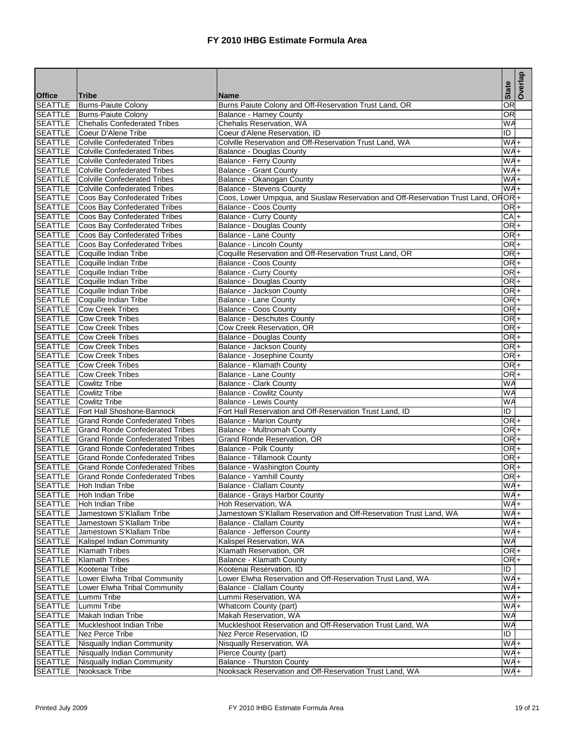|                                  |                                                          |                                                                                    | <b>State</b>                       | Overlap |
|----------------------------------|----------------------------------------------------------|------------------------------------------------------------------------------------|------------------------------------|---------|
| <b>Office</b><br><b>SEATTLE</b>  | Tribe<br><b>Burns-Paiute Colony</b>                      | <b>Name</b><br>Burns Paiute Colony and Off-Reservation Trust Land, OR              | $\overline{\mathsf{OR}}$           |         |
| <b>SEATTLE</b>                   | <b>Burns-Paiute Colony</b>                               | <b>Balance - Harney County</b>                                                     | <b>OR</b>                          |         |
|                                  | <b>SEATTLE</b> Chehalis Confederated Tribes              | Chehalis Reservation, WA                                                           | WA                                 |         |
| <b>SEATTLE</b>                   | Coeur D'Alene Tribe                                      | Coeur d'Alene Reservation, ID                                                      | ID                                 |         |
| <b>SEATTLE</b>                   | Colville Confederated Tribes                             | Colville Reservation and Off-Reservation Trust Land, WA                            | $WA +$                             |         |
| <b>SEATTLE</b>                   | Colville Confederated Tribes                             | Balance - Douglas County                                                           | $WA +$                             |         |
| SEATTLE                          | <b>Colville Confederated Tribes</b>                      | Balance - Ferry County                                                             | $W^4$                              |         |
| <b>SEATTLE</b>                   | Colville Confederated Tribes                             | <b>Balance - Grant County</b>                                                      | $W\overline{A}$                    |         |
| SEATTLE                          | Colville Confederated Tribes                             | Balance - Okanogan County                                                          | $WAA +$                            |         |
| SEATTLE                          | <b>Colville Confederated Tribes</b>                      | <b>Balance - Stevens County</b>                                                    | WA+                                |         |
| SEATTLE                          | Coos Bay Confederated Tribes                             | Coos, Lower Umpqua, and Siuslaw Reservation and Off-Reservation Trust Land, OROR + |                                    |         |
| <b>SEATTLE</b>                   | Coos Bay Confederated Tribes                             | <b>Balance - Coos County</b>                                                       | OR <sup>+</sup>                    |         |
| <b>SEATTLE</b>                   | Coos Bay Confederated Tribes                             | Balance - Curry County                                                             | $CA +$                             |         |
| SEATTLE                          | Coos Bay Confederated Tribes                             | Balance - Douglas County                                                           | $OR +$                             |         |
| SEATTLE                          | Coos Bay Confederated Tribes                             | Balance - Lane County                                                              | $OR +$                             |         |
| SEATTLE                          | Coos Bay Confederated Tribes                             | Balance - Lincoln County                                                           | OR <sup>+</sup>                    |         |
| <b>SEATTLE</b>                   | Coquille Indian Tribe                                    | Coquille Reservation and Off-Reservation Trust Land, OR                            | OR <sub>I</sub>                    |         |
| <b>SEATTLE</b>                   | Coquille Indian Tribe                                    | Balance - Coos County                                                              | OR <sup>+</sup>                    |         |
| SEATTLE                          | Coquille Indian Tribe                                    | Balance - Curry County                                                             | OR <sup>+</sup>                    |         |
| <b>SEATTLE</b>                   | Coquille Indian Tribe                                    | <b>Balance - Douglas County</b>                                                    | OR <sup>+</sup><br>OR <sup>+</sup> |         |
| SEATTLE                          | SEATTLE Coquille Indian Tribe<br>Coquille Indian Tribe   | Balance - Jackson County<br><b>Balance - Lane County</b>                           | OR <sup>+</sup>                    |         |
| <b>SEATTLE</b>                   | <b>Cow Creek Tribes</b>                                  | <b>Balance - Coos County</b>                                                       | $OR +$                             |         |
|                                  | <b>SEATTLE</b> Cow Creek Tribes                          | <b>Balance - Deschutes County</b>                                                  | OR <sup>+</sup>                    |         |
| SEATTLE                          | <b>Cow Creek Tribes</b>                                  | Cow Creek Reservation, OR                                                          | OR <sup>+</sup>                    |         |
| SEATTLE                          | <b>Cow Creek Tribes</b>                                  | <b>Balance - Douglas County</b>                                                    | $OR +$                             |         |
| SEATTLE                          | <b>Cow Creek Tribes</b>                                  | Balance - Jackson County                                                           | OR <sup>+</sup>                    |         |
|                                  | <b>SEATTLE</b> Cow Creek Tribes                          | Balance - Josephine County                                                         | OR <sub>+</sub>                    |         |
| <b>SEATTLE</b>                   | <b>Cow Creek Tribes</b>                                  | Balance - Klamath County                                                           | OR <sup>+</sup>                    |         |
| <b>SEATTLE</b>                   | <b>Cow Creek Tribes</b>                                  | <b>Balance - Lane County</b>                                                       | OR <sup>+</sup>                    |         |
| <b>SEATTLE</b>                   | <b>Cowlitz Tribe</b>                                     | <b>Balance - Clark County</b>                                                      | <b>WA</b>                          |         |
| SEATTLE                          | <b>Cowlitz Tribe</b>                                     | <b>Balance - Cowlitz County</b>                                                    | WA                                 |         |
| <b>SEATTLE</b>                   | Cowlitz Tribe                                            | Balance - Lewis County                                                             | <b>WA</b>                          |         |
| <b>SEATTLE</b>                   | Fort Hall Shoshone-Bannock                               | Fort Hall Reservation and Off-Reservation Trust Land, ID                           | ID                                 |         |
| SEATTLE                          | Grand Ronde Confederated Tribes                          | <b>Balance - Marion County</b>                                                     | ORI+                               |         |
| <b>SEATTLE</b>                   | Grand Ronde Confederated Tribes                          | Balance - Multnomah County                                                         | OR <sup>+</sup>                    |         |
| <b>SEATTLE</b>                   | <b>Grand Ronde Confederated Tribes</b>                   | Grand Ronde Reservation, OR                                                        | OR <sup>+</sup>                    |         |
| SEATTLE                          | <b>Grand Ronde Confederated Tribes</b>                   | Balance - Polk County                                                              | OR <sup>+</sup>                    |         |
| SEATTLE                          | <b>Grand Ronde Confederated Tribes</b>                   | <b>Balance - Tillamook County</b>                                                  | $OR +$                             |         |
| <b>SEATTLE</b><br><b>SEATTLE</b> | lGrand Ronde Confederated Tribes                         | Balance - Washington County                                                        | $OR +$<br>OR <sub>+</sub>          |         |
| <b>SEATTLE</b>                   | Grand Ronde Confederated Tribes<br>Hoh Indian Tribe      | Balance - Yamhill County<br>Balance - Clallam County                               | $WA +$                             |         |
| <b>SEATTLE</b>                   | Hoh Indian Tribe                                         | Balance - Grays Harbor County                                                      | $WA +$                             |         |
| <b>SEATTLE</b>                   | Hoh Indian Tribe                                         | Hoh Reservation, WA                                                                | $W\overline{A}$                    |         |
| SEATTLE                          | Jamestown S'Klallam Tribe                                | Jamestown S'Klallam Reservation and Off-Reservation Trust Land, WA                 | WA+                                |         |
|                                  | SEATTLE Jamestown S'Klallam Tribe                        | Balance - Clallam County                                                           | $W_A +$                            |         |
| SEATTLE                          | Jamestown S'Klallam Tribe                                | Balance - Jefferson County                                                         | $W A +$                            |         |
| <b>SEATTLE</b>                   | Kalispel Indian Community                                | Kalispel Reservation, WA                                                           | WA                                 |         |
| SEATTLE                          | <b>Klamath Tribes</b>                                    | Klamath Reservation, OR                                                            | OR <sub>+</sub>                    |         |
| <b>SEATTLE</b>                   | <b>Klamath Tribes</b>                                    | Balance - Klamath County                                                           | $OR +$                             |         |
| SEATTLE                          | Kootenai Tribe                                           | Kootenai Reservation, ID                                                           | ID                                 |         |
| <b>SEATTLE</b>                   | Lower Elwha Tribal Community                             | Lower Elwha Reservation and Off-Reservation Trust Land, WA                         | $W$ A+                             |         |
| SEATTLE                          | Lower Elwha Tribal Community                             | Balance - Clallam County                                                           | $W^4$                              |         |
| <b>SEATTLE</b>                   | Lummi Tribe                                              | Lummi Reservation, WA                                                              | $WA +$                             |         |
| <b>SEATTLE</b>                   | Lummi Tribe                                              | Whatcom County (part)                                                              | $W A +$                            |         |
| SEATTLE                          | Makah Indian Tribe                                       | Makah Reservation, WA                                                              | <b>WA</b>                          |         |
| SEATTLE                          | Muckleshoot Indian Tribe                                 | Muckleshoot Reservation and Off-Reservation Trust Land, WA                         | <b>WA</b>                          |         |
| <b>SEATTLE</b>                   | Nez Perce Tribe                                          | Nez Perce Reservation, ID                                                          | ID                                 |         |
| <b>SEATTLE</b>                   | Nisqually Indian Community                               | Nisqually Reservation, WA                                                          | $WA +$<br>$W^4$                    |         |
| SEATTLE<br>SEATTLE               | Nisqually Indian Community<br>Nisqually Indian Community | Pierce County (part)<br><b>Balance - Thurston County</b>                           | $WA +$                             |         |
| <b>SEATTLE</b>                   | Nooksack Tribe                                           | Nooksack Reservation and Off-Reservation Trust Land, WA                            | $W$ A+                             |         |
|                                  |                                                          |                                                                                    |                                    |         |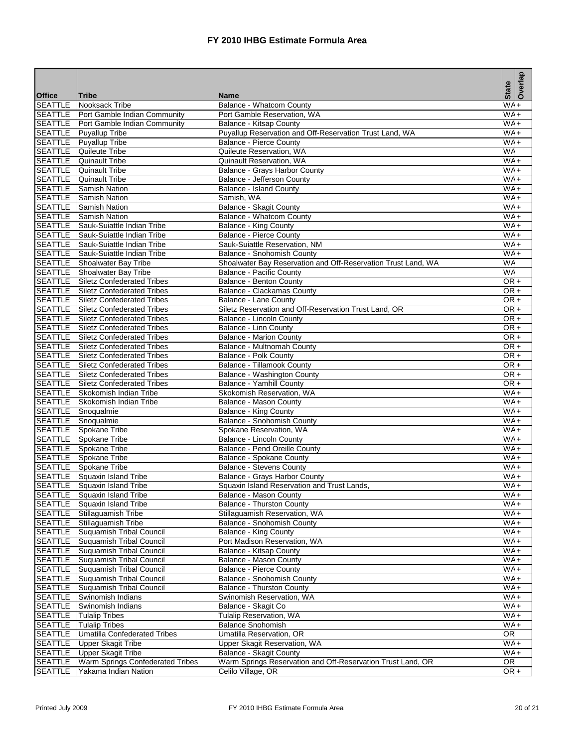|                           |                                                                      |                                                                                           | <b>State</b>      | Overlap |
|---------------------------|----------------------------------------------------------------------|-------------------------------------------------------------------------------------------|-------------------|---------|
| <b>Office</b>             | Tribe                                                                | <b>Name</b>                                                                               |                   |         |
| <b>SEATTLE</b>            | Nooksack Tribe                                                       | Balance - Whatcom County                                                                  | $W\overline{A+}$  |         |
| <b>SEATTLE</b>            | Port Gamble Indian Community<br>SEATTLE Port Gamble Indian Community | Port Gamble Reservation, WA                                                               | WA<br>WA+         | $\ddag$ |
| <b>SEATTLE</b>            | <b>Puyallup Tribe</b>                                                | Balance - Kitsap County                                                                   | $W^4$             |         |
| SEATTLE                   | <b>Puyallup Tribe</b>                                                | Puyallup Reservation and Off-Reservation Trust Land, WA<br><b>Balance - Pierce County</b> | $WAA +$           |         |
| <b>SEATTLE</b>            | Quileute Tribe                                                       | Quileute Reservation, WA                                                                  | WA                |         |
| <b>SEATTLE</b>            | <b>Quinault Tribe</b>                                                | <b>Quinault Reservation, WA</b>                                                           | $W^4$             |         |
| <b>SEATTLE</b>            | Quinault Tribe                                                       | Balance - Grays Harbor County                                                             | $W\overline{A+}$  |         |
| SEATTLE                   | <b>Quinault Tribe</b>                                                | Balance - Jefferson County                                                                | $W$ A+            |         |
| SEATTLE                   | <b>Samish Nation</b>                                                 | <b>Balance - Island County</b>                                                            | WA+               |         |
| SEATTLE                   | <b>Samish Nation</b>                                                 | Samish, WA                                                                                | $WAA +$           |         |
| <b>SEATTLE</b>            | <b>Samish Nation</b>                                                 | Balance - Skagit County                                                                   | $WAA +$           |         |
| <b>SEATTLE</b>            | <b>Samish Nation</b>                                                 | Balance - Whatcom County                                                                  | $W$ A+            |         |
|                           | SEATTLE Sauk-Suiattle Indian Tribe                                   | <b>Balance - King County</b>                                                              | $W^4 +$           |         |
| SEATTLE                   | Sauk-Suiattle Indian Tribe                                           | Balance - Pierce County                                                                   | $W^4$             |         |
| <b>SEATTLE</b>            | Sauk-Suiattle Indian Tribe                                           | Sauk-Suiattle Reservation, NM                                                             | $WAA +$           |         |
| <b>SEATTLE</b>            | Sauk-Suiattle Indian Tribe                                           | Balance - Snohomish County                                                                | $W_{A+}$          |         |
| SEATTLE                   | Shoalwater Bay Tribe                                                 | Shoalwater Bay Reservation and Off-Reservation Trust Land, WA                             | WA                |         |
| <b>SEATTLE</b>            | Shoalwater Bay Tribe                                                 | <b>Balance - Pacific County</b>                                                           | WA                |         |
| <b>SEATTLE</b>            | Siletz Confederated Tribes                                           | Balance - Benton County                                                                   | OR <sup>+</sup>   |         |
|                           | <b>SEATTLE</b> Siletz Confederated Tribes                            | Balance - Clackamas County                                                                | $ORI +$           |         |
| <b>SEATTLE</b>            | Siletz Confederated Tribes                                           | Balance - Lane County                                                                     | $OR +$            |         |
| <b>SEATTLE</b>            | Siletz Confederated Tribes                                           | Siletz Reservation and Off-Reservation Trust Land, OR                                     | OR <sup>I</sup> + |         |
| <b>SEATTLE</b>            | Siletz Confederated Tribes                                           | Balance - Lincoln County                                                                  | OR <sub>+</sub>   |         |
| <b>SEATTLE</b>            | Siletz Confederated Tribes                                           | <b>Balance - Linn County</b>                                                              | $OR +$            |         |
| <b>SEATTLE</b>            | <b>Siletz Confederated Tribes</b>                                    | <b>Balance - Marion County</b>                                                            | $OR +$            |         |
| SEATTLE                   | <b>Siletz Confederated Tribes</b>                                    | Balance - Multnomah County                                                                | OR <sub>+</sub>   |         |
| <b>SEATTLE</b>            | Siletz Confederated Tribes                                           | Balance - Polk County                                                                     | OR <sup>+</sup>   |         |
| <b>SEATTLE</b>            | Siletz Confederated Tribes                                           | Balance - Tillamook County                                                                | $OR +$            |         |
| <b>SEATTLE</b>            | Siletz Confederated Tribes                                           | Balance - Washington County                                                               | $OR +$            |         |
| <b>SEATTLE</b>            | Siletz Confederated Tribes                                           | Balance - Yamhill County                                                                  | OR <sup>+</sup>   |         |
|                           | SEATTLE Skokomish Indian Tribe                                       | Skokomish Reservation, WA                                                                 | $WA +$            |         |
| <b>SEATTLE</b>            | Skokomish Indian Tribe                                               | Balance - Mason County                                                                    | $WAA +$           |         |
| <b>SEATTLE</b>            | Snoqualmie                                                           | Balance - King County                                                                     | WA+               |         |
|                           | SEATTLE Snoqualmie                                                   | Balance - Snohomish County                                                                | WA+               |         |
|                           | SEATTLE Spokane Tribe                                                | Spokane Reservation, WA                                                                   | $WAA +$           |         |
|                           | SEATTLE Spokane Tribe                                                | Balance - Lincoln County                                                                  | $WAA +$           |         |
| SEATTLE                   | Spokane Tribe                                                        | Balance - Pend Oreille County                                                             | $WA +$            |         |
|                           | <b>SEATTLE</b> Spokane Tribe                                         | Balance - Spokane County                                                                  | $W^4 +$           |         |
| <b>SEATTLE</b>            | Spokane Tribe                                                        | <b>Balance - Stevens County</b>                                                           | $W$ A+            |         |
| <b>SEATTLE</b>            | Squaxin Island Tribe                                                 | Balance - Grays Harbor County                                                             | $WAA +$           |         |
| <b>SEATTLE</b>            | Squaxin Island Tribe                                                 | Squaxin Island Reservation and Trust Lands,                                               | WA+               |         |
| <b>SEATTLE</b>            | Squaxin Island Tribe                                                 | Balance - Mason County                                                                    | WA+               |         |
| <b>SEATTLE</b>            | Squaxin Island Tribe                                                 | <b>Balance - Thurston County</b>                                                          | $WAA +$           |         |
| SEATTLE                   | Stillaguamish Tribe                                                  | Stillaguamish Reservation, WA                                                             | $W_{A+}$          |         |
|                           | SEATTLE Stillaguamish Tribe                                          | Balance - Snohomish County                                                                | $WA +$            |         |
| SEATTLE                   | Suquamish Tribal Council                                             | <b>Balance - King County</b>                                                              | $W A +$           |         |
| <b>SEATTLE</b>            | <b>Suquamish Tribal Council</b>                                      | Port Madison Reservation, WA                                                              | $W A +$           |         |
| SEATTLE                   | Suquamish Tribal Council                                             | Balance - Kitsap County                                                                   | WA+               |         |
| <b>SEATTLE</b>            | Suquamish Tribal Council                                             | Balance - Mason County                                                                    | $WAA +$           |         |
| SEATTLE                   | Suguamish Tribal Council                                             | Balance - Pierce County                                                                   | WA+               |         |
| SEATTLE                   | Suquamish Tribal Council                                             | Balance - Snohomish County                                                                | WA+               |         |
| <b>SEATTLE</b>            | Suquamish Tribal Council                                             | <b>Balance - Thurston County</b>                                                          | WA+               |         |
| <b>SEATTLE</b>            | Swinomish Indians<br>Swinomish Indians                               | Swinomish Reservation, WA                                                                 | $WA+$<br>$WA +$   |         |
| <b>SEATTLE</b><br>SEATTLE |                                                                      | Balance - Skagit Co<br>Tulalip Reservation, WA                                            | WA+               |         |
| SEATTLE                   | <b>Tulalip Tribes</b><br><b>Tulalip Tribes</b>                       | <b>Balance Snohomish</b>                                                                  | $W_{A+}$          |         |
| SEATTLE                   | Umatilla Confederated Tribes                                         | Umatilla Reservation, OR                                                                  | <b>OR</b>         |         |
| <b>SEATTLE</b>            | <b>Upper Skagit Tribe</b>                                            | Upper Skagit Reservation, WA                                                              | WA+               |         |
| <b>SEATTLE</b>            | Upper Skagit Tribe                                                   | Balance - Skagit County                                                                   | $WA +$            |         |
| SEATTLE                   | Warm Springs Confederated Tribes                                     | Warm Springs Reservation and Off-Reservation Trust Land, OR                               | OR                |         |
| <b>SEATTLE</b>            | Yakama Indian Nation                                                 | Celilo Village, OR                                                                        | OR <sub>+</sub>   |         |
|                           |                                                                      |                                                                                           |                   |         |